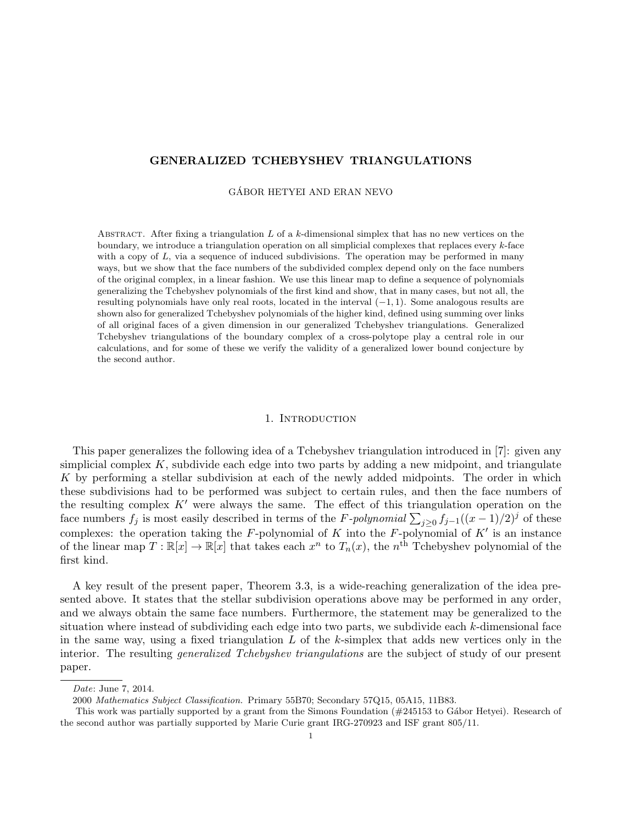# GENERALIZED TCHEBYSHEV TRIANGULATIONS

### GABOR HETYEI AND ERAN NEVO ´

ABSTRACT. After fixing a triangulation  $L$  of a  $k$ -dimensional simplex that has no new vertices on the boundary, we introduce a triangulation operation on all simplicial complexes that replaces every  $k$ -face with a copy of  $L$ , via a sequence of induced subdivisions. The operation may be performed in many ways, but we show that the face numbers of the subdivided complex depend only on the face numbers of the original complex, in a linear fashion. We use this linear map to define a sequence of polynomials generalizing the Tchebyshev polynomials of the first kind and show, that in many cases, but not all, the resulting polynomials have only real roots, located in the interval (−1, 1). Some analogous results are shown also for generalized Tchebyshev polynomials of the higher kind, defined using summing over links of all original faces of a given dimension in our generalized Tchebyshev triangulations. Generalized Tchebyshev triangulations of the boundary complex of a cross-polytope play a central role in our calculations, and for some of these we verify the validity of a generalized lower bound conjecture by the second author.

## 1. INTRODUCTION

This paper generalizes the following idea of a Tchebyshev triangulation introduced in [7]: given any simplicial complex  $K$ , subdivide each edge into two parts by adding a new midpoint, and triangulate K by performing a stellar subdivision at each of the newly added midpoints. The order in which these subdivisions had to be performed was subject to certain rules, and then the face numbers of the resulting complex  $K'$  were always the same. The effect of this triangulation operation on the face numbers  $f_j$  is most easily described in terms of the F-polynomial  $\sum_{j\geq 0} f_{j-1}((x-1)/2)^j$  of these complexes: the operation taking the F-polynomial of K into the F-polynomial of K' is an instance of the linear map  $T: \mathbb{R}[x] \to \mathbb{R}[x]$  that takes each  $x^n$  to  $T_n(x)$ , the  $n^{\text{th}}$  Tchebyshev polynomial of the first kind.

A key result of the present paper, Theorem 3.3, is a wide-reaching generalization of the idea presented above. It states that the stellar subdivision operations above may be performed in any order, and we always obtain the same face numbers. Furthermore, the statement may be generalized to the situation where instead of subdividing each edge into two parts, we subdivide each  $k$ -dimensional face in the same way, using a fixed triangulation  $L$  of the k-simplex that adds new vertices only in the interior. The resulting *generalized Tchebyshev triangulations* are the subject of study of our present paper.

Date: June 7, 2014.

<sup>2000</sup> Mathematics Subject Classification. Primary 55B70; Secondary 57Q15, 05A15, 11B83.

This work was partially supported by a grant from the Simons Foundation  $(\#245153$  to Gábor Hetyei). Research of the second author was partially supported by Marie Curie grant IRG-270923 and ISF grant 805/11.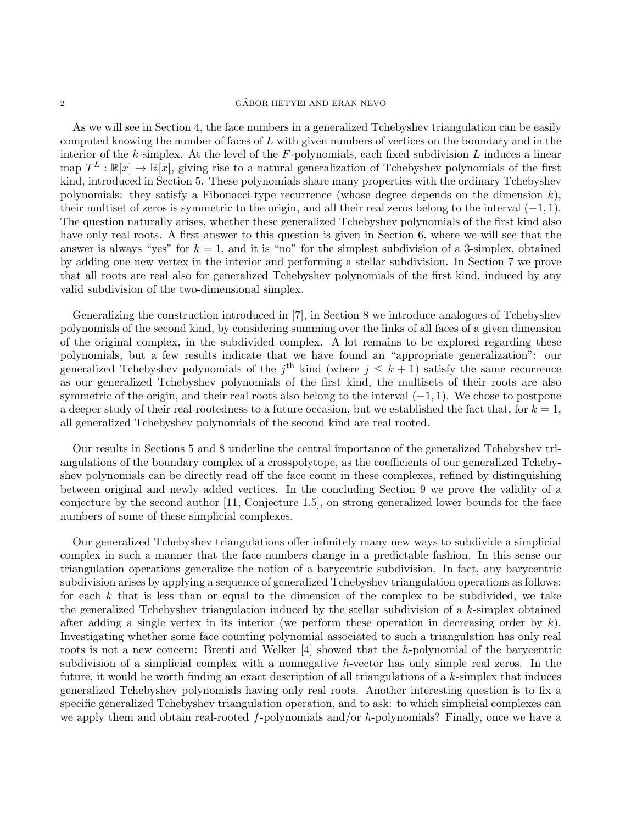### $\begin{array}{c}\text{GÁBOR HETYEI AND ERAN NEVO}\end{array}$

As we will see in Section 4, the face numbers in a generalized Tchebyshev triangulation can be easily computed knowing the number of faces of  $L$  with given numbers of vertices on the boundary and in the interior of the  $k$ -simplex. At the level of the  $F$ -polynomials, each fixed subdivision  $L$  induces a linear map  $T^L : \mathbb{R}[x] \to \mathbb{R}[x]$ , giving rise to a natural generalization of Tchebyshev polynomials of the first kind, introduced in Section 5. These polynomials share many properties with the ordinary Tchebyshev polynomials: they satisfy a Fibonacci-type recurrence (whose degree depends on the dimension  $k$ ), their multiset of zeros is symmetric to the origin, and all their real zeros belong to the interval  $(-1, 1)$ . The question naturally arises, whether these generalized Tchebyshev polynomials of the first kind also have only real roots. A first answer to this question is given in Section 6, where we will see that the answer is always "yes" for  $k = 1$ , and it is "no" for the simplest subdivision of a 3-simplex, obtained by adding one new vertex in the interior and performing a stellar subdivision. In Section 7 we prove that all roots are real also for generalized Tchebyshev polynomials of the first kind, induced by any valid subdivision of the two-dimensional simplex.

Generalizing the construction introduced in [7], in Section 8 we introduce analogues of Tchebyshev polynomials of the second kind, by considering summing over the links of all faces of a given dimension of the original complex, in the subdivided complex. A lot remains to be explored regarding these polynomials, but a few results indicate that we have found an "appropriate generalization": our generalized Tchebyshev polynomials of the  $j^{\text{th}}$  kind (where  $j \leq k+1$ ) satisfy the same recurrence as our generalized Tchebyshev polynomials of the first kind, the multisets of their roots are also symmetric of the origin, and their real roots also belong to the interval  $(-1, 1)$ . We chose to postpone a deeper study of their real-rootedness to a future occasion, but we established the fact that, for  $k = 1$ , all generalized Tchebyshev polynomials of the second kind are real rooted.

Our results in Sections 5 and 8 underline the central importance of the generalized Tchebyshev triangulations of the boundary complex of a crosspolytope, as the coefficients of our generalized Tchebyshev polynomials can be directly read off the face count in these complexes, refined by distinguishing between original and newly added vertices. In the concluding Section 9 we prove the validity of a conjecture by the second author [11, Conjecture 1.5], on strong generalized lower bounds for the face numbers of some of these simplicial complexes.

Our generalized Tchebyshev triangulations offer infinitely many new ways to subdivide a simplicial complex in such a manner that the face numbers change in a predictable fashion. In this sense our triangulation operations generalize the notion of a barycentric subdivision. In fact, any barycentric subdivision arises by applying a sequence of generalized Tchebyshev triangulation operations as follows: for each  $k$  that is less than or equal to the dimension of the complex to be subdivided, we take the generalized Tchebyshev triangulation induced by the stellar subdivision of a  $k$ -simplex obtained after adding a single vertex in its interior (we perform these operation in decreasing order by  $k$ ). Investigating whether some face counting polynomial associated to such a triangulation has only real roots is not a new concern: Brenti and Welker  $[4]$  showed that the h-polynomial of the barycentric subdivision of a simplicial complex with a nonnegative h-vector has only simple real zeros. In the future, it would be worth finding an exact description of all triangulations of a k-simplex that induces generalized Tchebyshev polynomials having only real roots. Another interesting question is to fix a specific generalized Tchebyshev triangulation operation, and to ask: to which simplicial complexes can we apply them and obtain real-rooted f-polynomials and/or h-polynomials? Finally, once we have a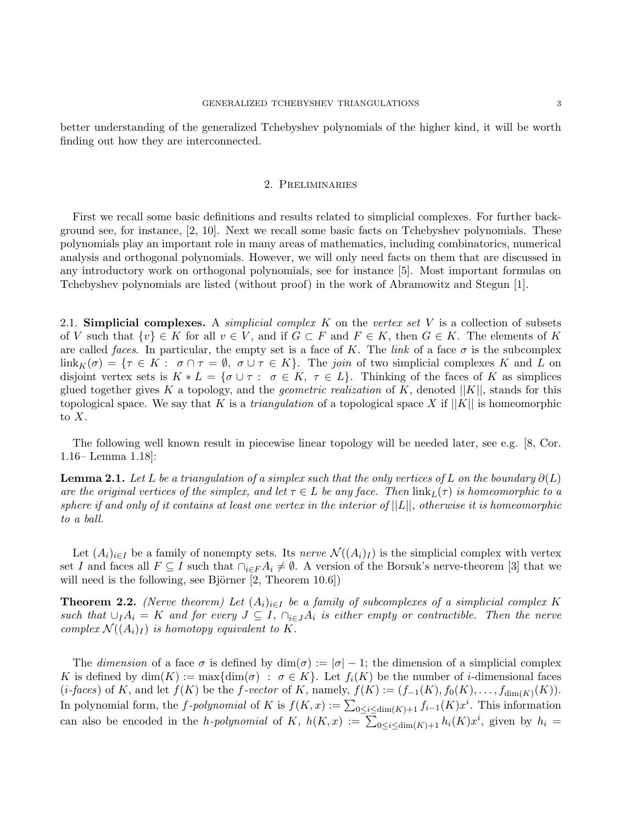better understanding of the generalized Tchebyshev polynomials of the higher kind, it will be worth finding out how they are interconnected.

## 2. Preliminaries

First we recall some basic definitions and results related to simplicial complexes. For further background see, for instance, [2, 10]. Next we recall some basic facts on Tchebyshev polynomials. These polynomials play an important role in many areas of mathematics, including combinatorics, numerical analysis and orthogonal polynomials. However, we will only need facts on them that are discussed in any introductory work on orthogonal polynomials, see for instance [5]. Most important formulas on Tchebyshev polynomials are listed (without proof) in the work of Abramowitz and Stegun [1].

2.1. Simplicial complexes. A *simplicial complex K* on the vertex set V is a collection of subsets of V such that  $\{v\} \in K$  for all  $v \in V$ , and if  $G \subset F$  and  $F \in K$ , then  $G \in K$ . The elements of K are called faces. In particular, the empty set is a face of K. The link of a face  $\sigma$  is the subcomplex  $\lim_k(\sigma) = \{\tau \in K : \sigma \cap \tau = \emptyset, \sigma \cup \tau \in K\}.$  The join of two simplicial complexes K and L on disjoint vertex sets is  $K * L = \{ \sigma \cup \tau : \sigma \in K, \tau \in L \}.$  Thinking of the faces of K as simplices glued together gives K a topology, and the *geometric realization* of K, denoted  $||K||$ , stands for this topological space. We say that K is a *triangulation* of a topological space X if  $||K||$  is homeomorphic to  $X$ .

The following well known result in piecewise linear topology will be needed later, see e.g. [8, Cor. 1.16– Lemma 1.18]:

**Lemma 2.1.** Let L be a triangulation of a simplex such that the only vertices of L on the boundary  $\partial(L)$ are the original vertices of the simplex, and let  $\tau \in L$  be any face. Then  $\text{link}_L(\tau)$  is homeomorphic to a sphere if and only of it contains at least one vertex in the interior of  $||L||$ , otherwise it is homeomorphic to a ball.

Let  $(A_i)_{i\in I}$  be a family of nonempty sets. Its nerve  $\mathcal{N}((A_i)_I)$  is the simplicial complex with vertex set I and faces all  $F \subseteq I$  such that  $\bigcap_{i \in F} A_i \neq \emptyset$ . A version of the Borsuk's nerve-theorem [3] that we will need is the following, see Björner  $[2,$  Theorem 10.6])

**Theorem 2.2.** (Nerve theorem) Let  $(A_i)_{i\in I}$  be a family of subcomplexes of a simplicial complex K such that  $\cup_I A_i = K$  and for every  $J \subseteq I$ ,  $\cap_{i \in J} A_i$  is either empty or contractible. Then the nerve complex  $\mathcal{N}((A_i)_I)$  is homotopy equivalent to K.

The dimension of a face  $\sigma$  is defined by  $\dim(\sigma) := |\sigma| - 1$ ; the dimension of a simplicial complex K is defined by  $\dim(K) := \max\{\dim(\sigma) : \sigma \in K\}$ . Let  $f_i(K)$  be the number of *i*-dimensional faces  $(i\text{-}faces)$  of K, and let  $f(K)$  be the f-vector of K, namely,  $f(K) := (f_{-1}(K), f_0(K), \ldots, f_{\dim(K)}(K)).$ In polynomial form, the f-polynomial of K is  $f(K, x) := \sum_{0 \le i \le dim(K)+1} f_{i-1}(K) x^i$ . This information can also be encoded in the *h-polynomial* of K,  $h(K, x) := \sum_{0 \leq i \leq \dim(K) + 1} h_i(K) x^i$ , given by  $h_i =$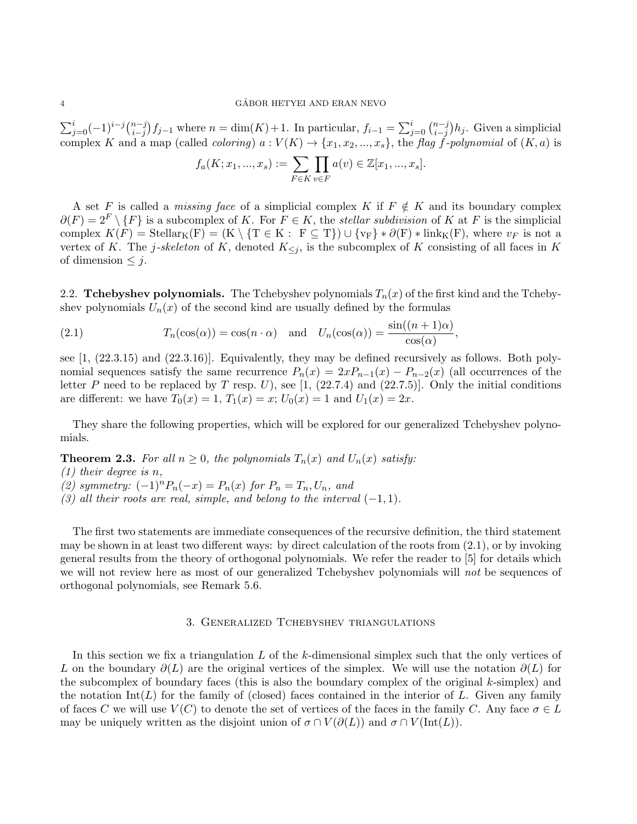$\sum_{j=0}^{i}(-1)^{i-j}\binom{n-j}{i-j}$  $\sum_{i=j}^{n-j} f_{j-1}$  where  $n = \dim(K) + 1$ . In particular,  $f_{i-1} = \sum_{j=0}^{i} {n-j \choose i-j}$  $\binom{n-j}{i-j}h_j$ . Given a simplicial complex K and a map (called *coloring*)  $a: V(K) \to \{x_1, x_2, ..., x_s\}$ , the flag f-polynomial of  $(K, a)$  is

$$
f_a(K; x_1, ..., x_s) := \sum_{F \in K} \prod_{v \in F} a(v) \in \mathbb{Z}[x_1, ..., x_s].
$$

A set F is called a *missing face* of a simplicial complex K if  $F \notin K$  and its boundary complex  $\partial(F) = 2^F \setminus \{F\}$  is a subcomplex of K. For  $F \in K$ , the *stellar subdivision* of K at F is the simplicial complex  $K(F) = \text{Stellar}_K(F) = (K \setminus \{T \in K : F \subseteq T\}) \cup \{v_F\} * \partial(F) * \text{link}_K(F)$ , where  $v_F$  is not a vertex of K. The j-skeleton of K, denoted  $K_{\leq j}$ , is the subcomplex of K consisting of all faces in K of dimension  $\leq j$ .

2.2. Tchebyshev polynomials. The Tchebyshev polynomials  $T_n(x)$  of the first kind and the Tchebyshev polynomials  $U_n(x)$  of the second kind are usually defined by the formulas

(2.1) 
$$
T_n(\cos(\alpha)) = \cos(n \cdot \alpha) \text{ and } U_n(\cos(\alpha)) = \frac{\sin((n+1)\alpha)}{\cos(\alpha)},
$$

see [1, (22.3.15) and (22.3.16)]. Equivalently, they may be defined recursively as follows. Both polynomial sequences satisfy the same recurrence  $P_n(x) = 2xP_{n-1}(x) - P_{n-2}(x)$  (all occurrences of the letter P need to be replaced by T resp. U), see [1, (22.7.4) and (22.7.5)]. Only the initial conditions are different: we have  $T_0(x) = 1, T_1(x) = x$ ;  $U_0(x) = 1$  and  $U_1(x) = 2x$ .

They share the following properties, which will be explored for our generalized Tchebyshev polynomials.

**Theorem 2.3.** For all  $n \geq 0$ , the polynomials  $T_n(x)$  and  $U_n(x)$  satisfy:

(1) their degree is n,

(2) symmetry:  $(-1)^n P_n(-x) = P_n(x)$  for  $P_n = T_n, U_n$ , and

(3) all their roots are real, simple, and belong to the interval  $(-1, 1)$ .

The first two statements are immediate consequences of the recursive definition, the third statement may be shown in at least two different ways: by direct calculation of the roots from  $(2.1)$ , or by invoking general results from the theory of orthogonal polynomials. We refer the reader to [5] for details which we will not review here as most of our generalized Tchebyshev polynomials will not be sequences of orthogonal polynomials, see Remark 5.6.

### 3. Generalized Tchebyshev triangulations

In this section we fix a triangulation  $L$  of the  $k$ -dimensional simplex such that the only vertices of L on the boundary  $\partial(L)$  are the original vertices of the simplex. We will use the notation  $\partial(L)$  for the subcomplex of boundary faces (this is also the boundary complex of the original  $k$ -simplex) and the notation  $\text{Int}(L)$  for the family of (closed) faces contained in the interior of L. Given any family of faces C we will use  $V(C)$  to denote the set of vertices of the faces in the family C. Any face  $\sigma \in L$ may be uniquely written as the disjoint union of  $\sigma \cap V(\partial(L))$  and  $\sigma \cap V(\text{Int}(L))$ .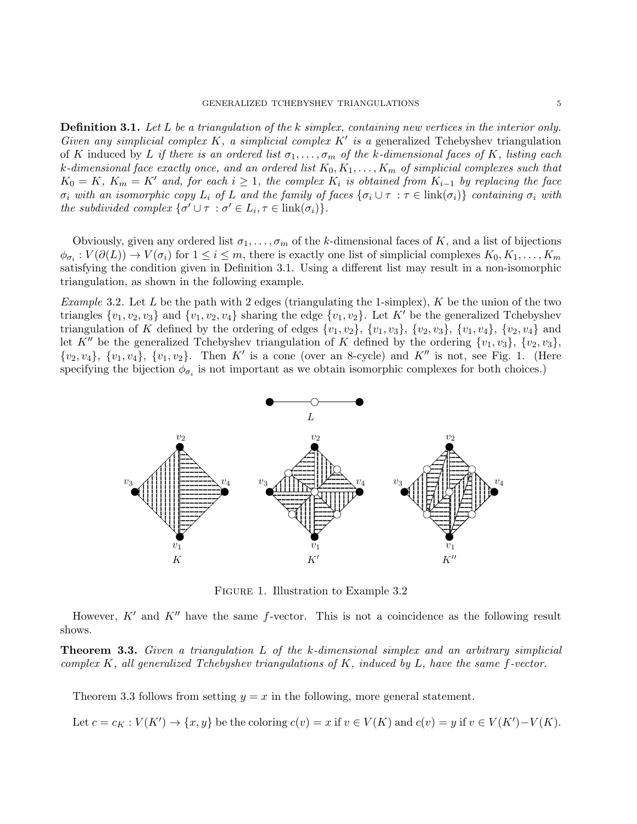Definition 3.1. Let L be a triangulation of the k simplex, containing new vertices in the interior only. Given any simplicial complex K, a simplicial complex  $K'$  is a generalized Tchebyshev triangulation of K induced by L if there is an ordered list  $\sigma_1, \ldots, \sigma_m$  of the k-dimensional faces of K, listing each k-dimensional face exactly once, and an ordered list  $K_0, K_1, \ldots, K_m$  of simplicial complexes such that  $K_0 = K$ ,  $K_m = K'$  and, for each  $i \geq 1$ , the complex  $K_i$  is obtained from  $K_{i-1}$  by replacing the face  $\sigma_i$  with an isomorphic copy  $L_i$  of L and the family of faces  $\{\sigma_i \cup \tau : \tau \in \text{link}(\sigma_i)\}\$ containing  $\sigma_i$  with the subdivided complex  $\{\sigma' \cup \tau : \sigma' \in L_i, \tau \in \text{link}(\sigma_i)\}.$ 

Obviously, given any ordered list  $\sigma_1, \ldots, \sigma_m$  of the k-dimensional faces of K, and a list of bijections  $\phi_{\sigma_i}: V(\partial(L)) \to V(\sigma_i)$  for  $1 \leq i \leq m$ , there is exactly one list of simplicial complexes  $K_0, K_1, \ldots, K_m$ satisfying the condition given in Definition 3.1. Using a different list may result in a non-isomorphic triangulation, as shown in the following example.

*Example* 3.2. Let L be the path with 2 edges (triangulating the 1-simplex),  $K$  be the union of the two triangles  $\{v_1, v_2, v_3\}$  and  $\{v_1, v_2, v_4\}$  sharing the edge  $\{v_1, v_2\}$ . Let K' be the generalized Tchebyshev triangulation of K defined by the ordering of edges  $\{v_1, v_2\}$ ,  $\{v_1, v_3\}$ ,  $\{v_2, v_3\}$ ,  $\{v_1, v_4\}$ ,  $\{v_2, v_4\}$  and let K<sup>n</sup> be the generalized Tchebyshev triangulation of K defined by the ordering  $\{v_1, v_3\}$ ,  $\{v_2, v_3\}$ ,  $\{v_2, v_4\}, \{v_1, v_4\}, \{v_1, v_2\}.$  Then K' is a cone (over an 8-cycle) and K'' is not, see Fig. 1. (Here specifying the bijection  $\phi_{\sigma_i}$  is not important as we obtain isomorphic complexes for both choices.)



Figure 1. Illustration to Example 3.2

However,  $K'$  and  $K''$  have the same f-vector. This is not a coincidence as the following result shows.

**Theorem 3.3.** Given a triangulation L of the k-dimensional simplex and an arbitrary simplicial complex K, all generalized Tchebyshev triangulations of K, induced by L, have the same f-vector.

Theorem 3.3 follows from setting  $y = x$  in the following, more general statement.

Let  $c = c_K : V(K') \to \{x, y\}$  be the coloring  $c(v) = x$  if  $v \in V(K)$  and  $c(v) = y$  if  $v \in V(K') - V(K)$ .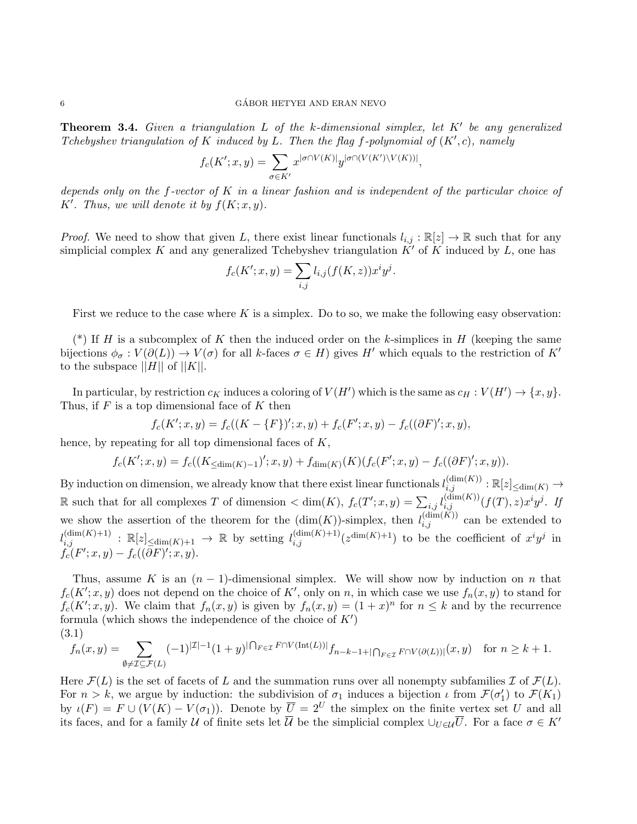**Theorem 3.4.** Given a triangulation L of the k-dimensional simplex, let  $K'$  be any generalized Tchebyshev triangulation of K induced by L. Then the flag f-polynomial of  $(K', c)$ , namely

$$
f_c(K';x,y) = \sum_{\sigma \in K'} x^{|\sigma \cap V(K)|} y^{|\sigma \cap (V(K') \backslash V(K))|},
$$

depends only on the f-vector of K in a linear fashion and is independent of the particular choice of K'. Thus, we will denote it by  $f(K; x, y)$ .

*Proof.* We need to show that given L, there exist linear functionals  $l_{i,j} : \mathbb{R}[z] \to \mathbb{R}$  such that for any simplicial complex K and any generalized Tchebyshev triangulation  $K'$  of K induced by L, one has

$$
f_c(K'; x, y) = \sum_{i,j} l_{i,j}(f(K, z)) x^i y^j.
$$

First we reduce to the case where K is a simplex. Do to so, we make the following easy observation:

(\*) If H is a subcomplex of K then the induced order on the k-simplices in H (keeping the same bijections  $\phi_{\sigma}: V(\partial(L)) \to V(\sigma)$  for all k-faces  $\sigma \in H$ ) gives H' which equals to the restriction of K' to the subspace  $||H||$  of  $||K||$ .

In particular, by restriction  $c_K$  induces a coloring of  $V(H')$  which is the same as  $c_H : V(H') \to \{x, y\}.$ Thus, if  $F$  is a top dimensional face of  $K$  then

$$
f_c(K';x,y) = f_c((K - \{F\})';x,y) + f_c(F';x,y) - f_c((\partial F)';x,y),
$$

hence, by repeating for all top dimensional faces of K,

$$
f_c(K';x,y) = f_c((K_{\leq \dim(K)-1})';x,y) + f_{\dim(K)}(K)(f_c(F';x,y) - f_c((\partial F)';x,y)).
$$

By induction on dimension, we already know that there exist linear functionals  $l_{i,j}^{(\dim(K))} : \mathbb{R}[z]_{\leq \dim(K)} \to$ R such that for all complexes T of dimension  $\lt \dim(K)$ ,  $f_c(T'; x, y) = \sum_{i,j} l_{i,j}^{(\dim(K))}(f(T), z) x^i y^j$ . If we show the assertion of the theorem for the  $(\dim(K))$ -simplex, then  $l_{i,j}^{(\dim(K))}$  can be extended to  $l_{i,j}^{(\dim(K)+1)}$  :  $\mathbb{R}[z]_{\leq \dim(K)+1} \to \mathbb{R}$  by setting  $l_{i,j}^{(\dim(K)+1)}(z^{\dim(K)+1})$  to be the coefficient of  $x^i y^j$  in  $f_c(F';x,y) - f_c((\partial F)';x,y).$ 

Thus, assume K is an  $(n-1)$ -dimensional simplex. We will show now by induction on n that  $f_c(K'; x, y)$  does not depend on the choice of K', only on n, in which case we use  $f_n(x, y)$  to stand for  $f_c(K'; x, y)$ . We claim that  $f_n(x, y)$  is given by  $f_n(x, y) = (1 + x)^n$  for  $n \leq k$  and by the recurrence formula (which shows the independence of the choice of  $K'$ ) (3.1)

$$
f_n(x,y)=\sum_{\emptyset\neq\mathcal{I}\subseteq\mathcal{F}(L)}(-1)^{|\mathcal{I}|-1}(1+y)^{|\bigcap_{F\in\mathcal{I}}F\cap V(\mathrm{Int}(L))|}f_{n-k-1+|\bigcap_{F\in\mathcal{I}}F\cap V(\partial(L))|}(x,y)\quad\text{for }n\geq k+1.
$$

Here  $\mathcal{F}(L)$  is the set of facets of L and the summation runs over all nonempty subfamilies  $\mathcal{I}$  of  $\mathcal{F}(L)$ . For  $n > k$ , we argue by induction: the subdivision of  $\sigma_1$  induces a bijection  $\iota$  from  $\mathcal{F}(\sigma'_1)$  to  $\mathcal{F}(K_1)$ by  $\iota(F) = F \cup (V(K) - V(\sigma_1))$ . Denote by  $\overline{U} = 2^U$  the simplex on the finite vertex set U and all its faces, and for a family U of finite sets let  $\overline{U}$  be the simplicial complex  $\cup_{U\in\mathcal{U}}\overline{U}$ . For a face  $\sigma\in K'$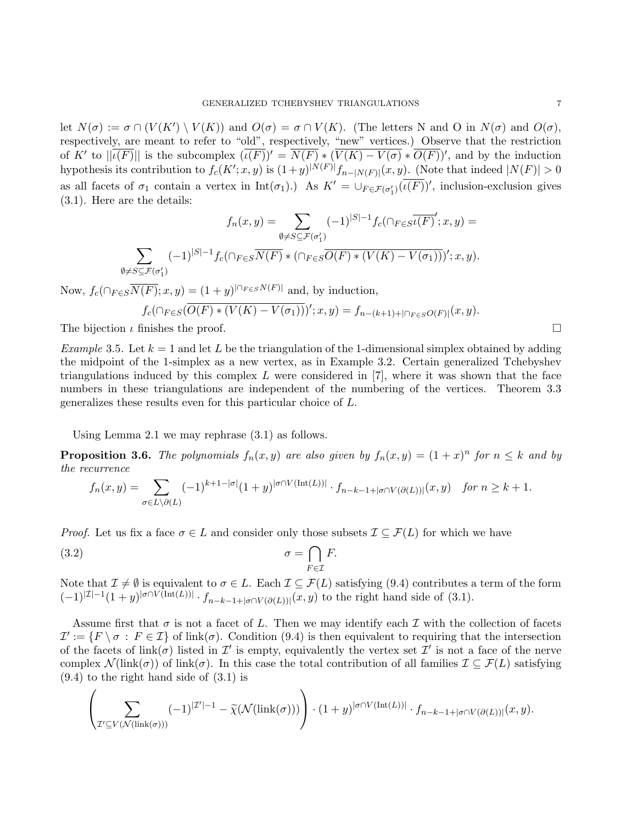let  $N(\sigma) := \sigma \cap (V(K') \setminus V(K))$  and  $O(\sigma) = \sigma \cap V(K)$ . (The letters N and O in  $N(\sigma)$  and  $O(\sigma)$ , respectively, are meant to refer to "old", respectively, "new" vertices.) Observe that the restriction of K' to  $||\overline{\iota(F)}||$  is the subcomplex  $(\overline{\iota(F)})' = \overline{N(F)} * (\overline{V(K) - V(\sigma)} * \overline{O(F)})'$ , and by the induction hypothesis its contribution to  $f_c(K'; x, y)$  is  $(1+y)^{|N(F)|} f_{n-|N(F)|}(x, y)$ . (Note that indeed  $|N(F)| > 0$ as all facets of  $\sigma_1$  contain a vertex in  $\text{Int}(\sigma_1)$ . As  $K' = \bigcup_{F \in \mathcal{F}(\sigma'_1)} (\overline{\iota(F)})'$ , inclusion-exclusion gives (3.1). Here are the details:

$$
f_n(x,y) = \sum_{\emptyset \neq S \subseteq \mathcal{F}(\sigma'_1)} (-1)^{|S|-1} f_c(\bigcap_{F \in S} \overline{\iota(F)}'; x, y) =
$$
  

$$
\sum_{\emptyset \neq S \subseteq \mathcal{F}(\sigma'_1)} (-1)^{|S|-1} f_c(\bigcap_{F \in S} \overline{N(F)} * \bigcap_{F \in S} \overline{O(F)} * (V(K) - V(\sigma_1))\big)'; x, y).
$$

Now,  $f_c(\bigcap_{F \in S} \overline{N(F)}; x, y) = (1+y)^{|\bigcap_{F \in S} N(F)|}$  and, by induction,

$$
f_c(\bigcap_{F \in S} (\overline{O(F) * (V(K) - V(\sigma_1))})'; x, y) = f_{n-(k+1)+|\bigcap_{F \in S} O(F)|}(x, y).
$$
  
The bijection  $\iota$  finishes the proof.

Example 3.5. Let  $k = 1$  and let L be the triangulation of the 1-dimensional simplex obtained by adding the midpoint of the 1-simplex as a new vertex, as in Example 3.2. Certain generalized Tchebyshev triangulations induced by this complex L were considered in  $[7]$ , where it was shown that the face numbers in these triangulations are independent of the numbering of the vertices. Theorem 3.3 generalizes these results even for this particular choice of L.

Using Lemma 2.1 we may rephrase (3.1) as follows.

**Proposition 3.6.** The polynomials  $f_n(x, y)$  are also given by  $f_n(x, y) = (1 + x)^n$  for  $n \leq k$  and by the recurrence

$$
f_n(x,y) = \sum_{\sigma \in L \setminus \partial(L)} (-1)^{k+1-|\sigma|} (1+y)^{|\sigma \cap V(\text{Int}(L))|} \cdot f_{n-k-1+|\sigma \cap V(\partial(L))|}(x,y) \quad \text{for } n \ge k+1.
$$

*Proof.* Let us fix a face  $\sigma \in L$  and consider only those subsets  $\mathcal{I} \subseteq \mathcal{F}(L)$  for which we have

(3.2) 
$$
\sigma = \bigcap_{F \in \mathcal{I}} F.
$$

Note that  $\mathcal{I} \neq \emptyset$  is equivalent to  $\sigma \in L$ . Each  $\mathcal{I} \subseteq \mathcal{F}(L)$  satisfying (9.4) contributes a term of the form  $(-1)^{|\mathcal{I}|-1}(1+y)^{|\sigma\cap V(\text{Int}(L))|}\cdot f_{n-k-1+|\sigma\cap V(\partial(L))|}(x,y)$  to the right hand side of  $(3.1)$ .

Assume first that  $\sigma$  is not a facet of L. Then we may identify each I with the collection of facets  $\mathcal{I}' := \{F \setminus \sigma : F \in \mathcal{I}\}\$  of link $(\sigma)$ . Condition (9.4) is then equivalent to requiring that the intersection of the facets of  $\text{link}(\sigma)$  listed in  $\mathcal{I}'$  is empty, equivalently the vertex set  $\mathcal{I}'$  is not a face of the nerve complex  $\mathcal{N}(\text{link}(\sigma))$  of link( $\sigma$ ). In this case the total contribution of all families  $\mathcal{I} \subseteq \mathcal{F}(L)$  satisfying (9.4) to the right hand side of (3.1) is

$$
\left(\sum_{\mathcal{I}' \subseteq V(\mathcal{N}(\text{link}(\sigma)))} (-1)^{|\mathcal{I}'|-1} - \widetilde{\chi}(\mathcal{N}(\text{link}(\sigma)))\right) \cdot (1+y)^{|\sigma \cap V(\text{Int}(L))|} \cdot f_{n-k-1+|\sigma \cap V(\partial(L))|}(x,y).
$$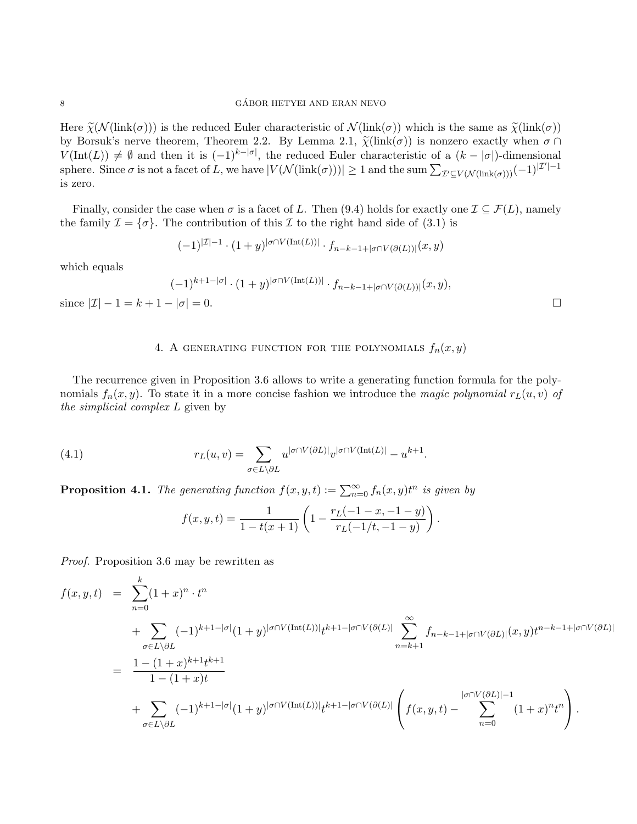Here  $\tilde{\chi}(\mathcal{N}(\text{link}(\sigma)))$  is the reduced Euler characteristic of  $\mathcal{N}(\text{link}(\sigma))$  which is the same as  $\tilde{\chi}(\text{link}(\sigma))$ by Borsuk's nerve theorem, Theorem 2.2. By Lemma 2.1,  $\tilde{\chi}(\text{link}(\sigma))$  is nonzero exactly when  $\sigma \cap$  $V(\text{Int}(L)) \neq \emptyset$  and then it is  $(-1)^{k-|\sigma|}$ , the reduced Euler characteristic of a  $(k-|\sigma|)$ -dimensional sphere. Since  $\sigma$  is not a facet of L, we have  $|V(\mathcal{N}(\text{link}(\sigma)))| \geq 1$  and the sum  $\sum_{\mathcal{I}' \subseteq V(\mathcal{N}(\text{link}(\sigma)))} (-1)^{|\mathcal{I}'|-1}$ is zero.

Finally, consider the case when  $\sigma$  is a facet of L. Then (9.4) holds for exactly one  $\mathcal{I} \subseteq \mathcal{F}(L)$ , namely the family  $\mathcal{I} = {\sigma}$ . The contribution of this  $\mathcal I$  to the right hand side of (3.1) is

$$
(-1)^{|\mathcal{I}|-1} \cdot (1+y)^{|\sigma \cap V(\text{Int}(L))|} \cdot f_{n-k-1+|\sigma \cap V(\partial(L))|}(x,y)
$$

which equals

$$
(-1)^{k+1-|\sigma|} \cdot (1+y)^{|\sigma \cap V(\text{Int}(L))|} \cdot f_{n-k-1+|\sigma \cap V(\partial(L))|}(x,y),
$$
  
since  $|\mathcal{I}| - 1 = k+1 - |\sigma| = 0$ .

# 4. A GENERATING FUNCTION FOR THE POLYNOMIALS  $f_n(x, y)$

The recurrence given in Proposition 3.6 allows to write a generating function formula for the polynomials  $f_n(x, y)$ . To state it in a more concise fashion we introduce the magic polynomial  $r<sub>L</sub>(u, v)$  of the simplicial complex L given by

(4.1) 
$$
r_L(u,v) = \sum_{\sigma \in L \backslash \partial L} u^{|\sigma \cap V(\partial L)|} v^{|\sigma \cap V(\text{Int}(L)|} - u^{k+1}.
$$

**Proposition 4.1.** The generating function  $f(x, y, t) := \sum_{n=0}^{\infty} f_n(x, y)t^n$  is given by

$$
f(x, y, t) = \frac{1}{1 - t(x + 1)} \left( 1 - \frac{r_L(-1 - x, -1 - y)}{r_L(-1/t, -1 - y)} \right).
$$

Proof. Proposition 3.6 may be rewritten as

$$
f(x, y, t) = \sum_{n=0}^{k} (1+x)^{n} \cdot t^{n}
$$
  
+ 
$$
\sum_{\sigma \in L \setminus \partial L} (-1)^{k+1-|\sigma|} (1+y)^{|\sigma \cap V(\text{Int}(L))|} t^{k+1-|\sigma \cap V(\partial L)|} \sum_{n=k+1}^{\infty} f_{n-k-1+|\sigma \cap V(\partial L)|}(x, y) t^{n-k-1+|\sigma \cap V(\partial L)|}
$$
  
= 
$$
\frac{1 - (1+x)^{k+1} t^{k+1}}{1 - (1+x)t}
$$
  
+ 
$$
\sum_{\sigma \in L \setminus \partial L} (-1)^{k+1-|\sigma|} (1+y)^{|\sigma \cap V(\text{Int}(L))|} t^{k+1-|\sigma \cap V(\partial L)|} \left( f(x, y, t) - \sum_{n=0}^{|\sigma \cap V(\partial L)|-1} (1+x)^{n} t^{n} \right).
$$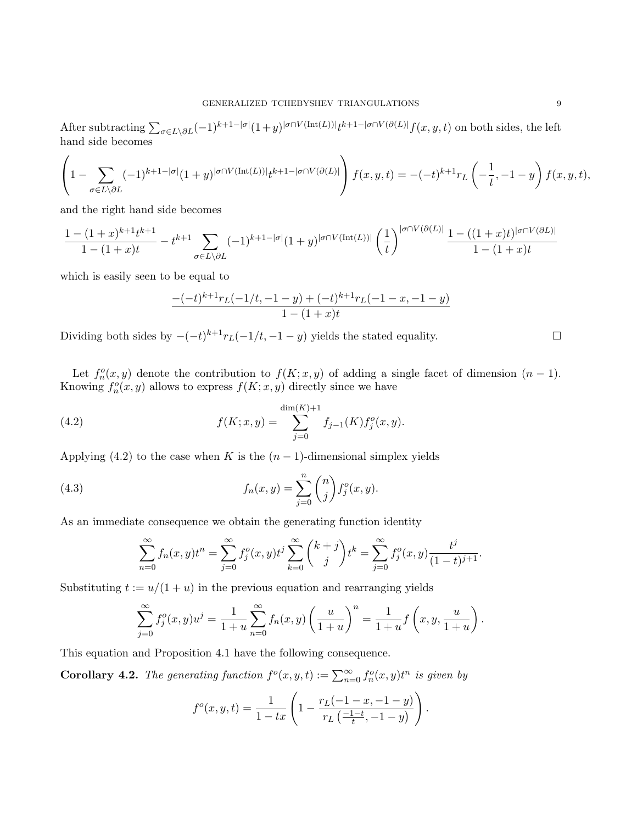After subtracting  $\sum_{\sigma\in L\setminus\partial L}(-1)^{k+1-|\sigma|}(1+y)^{|\sigma\cap V(\text{Int}(L))|}t^{k+1-|\sigma\cap V(\partial(L)|}f(x,y,t)$  on both sides, the left hand side becomes

$$
\left(1 - \sum_{\sigma \in L \setminus \partial L} (-1)^{k+1-|\sigma|} (1+y)^{|\sigma \cap V(\text{Int}(L))|} t^{k+1-|\sigma \cap V(\partial(L)|} \right) f(x,y,t) = -(-t)^{k+1} r_L \left(-\frac{1}{t}, -1-y\right) f(x,y,t),
$$

and the right hand side becomes

$$
\frac{1 - (1+x)^{k+1}t^{k+1}}{1 - (1+x)t} - t^{k+1} \sum_{\sigma \in L \setminus \partial L} (-1)^{k+1-|\sigma|} (1+y)^{|\sigma \cap V(\text{Int}(L))|} \left(\frac{1}{t}\right)^{|\sigma \cap V(\partial(L)|} \frac{1 - ((1+x)t)^{|\sigma \cap V(\partial L)|}}{1 - (1+x)t}
$$

which is easily seen to be equal to

$$
\frac{-(-t)^{k+1}r_L(-1/t, -1-y) + (-t)^{k+1}r_L(-1-x, -1-y)}{1-(1+x)t}
$$

Dividing both sides by  $-(-t)^{k+1}r_L(-1/t, -1 - y)$  yields the stated equality.

Let  $f_n^o(x, y)$  denote the contribution to  $f(K; x, y)$  of adding a single facet of dimension  $(n - 1)$ . Knowing  $f_n^o(x, y)$  allows to express  $f(K; x, y)$  directly since we have

(4.2) 
$$
f(K; x, y) = \sum_{j=0}^{\dim(K)+1} f_{j-1}(K) f_j^o(x, y).
$$

Applying (4.2) to the case when K is the  $(n-1)$ -dimensional simplex yields

(4.3) 
$$
f_n(x,y) = \sum_{j=0}^n \binom{n}{j} f_j^o(x,y).
$$

As an immediate consequence we obtain the generating function identity

$$
\sum_{n=0}^{\infty} f_n(x, y)t^n = \sum_{j=0}^{\infty} f_j^o(x, y)t^j \sum_{k=0}^{\infty} {k+j \choose j} t^k = \sum_{j=0}^{\infty} f_j^o(x, y) \frac{t^j}{(1-t)^{j+1}}.
$$

Substituting  $t := u/(1 + u)$  in the previous equation and rearranging yields

$$
\sum_{j=0}^{\infty} f_j^o(x, y) u^j = \frac{1}{1+u} \sum_{n=0}^{\infty} f_n(x, y) \left(\frac{u}{1+u}\right)^n = \frac{1}{1+u} f\left(x, y, \frac{u}{1+u}\right).
$$

This equation and Proposition 4.1 have the following consequence.

**Corollary 4.2.** The generating function  $f^o(x, y, t) := \sum_{n=0}^{\infty} f_n^o(x, y)t^n$  is given by

$$
f^{o}(x, y, t) = \frac{1}{1 - tx} \left( 1 - \frac{r_L(-1 - x, -1 - y)}{r_L(\frac{-1 - t}{t}, -1 - y)} \right).
$$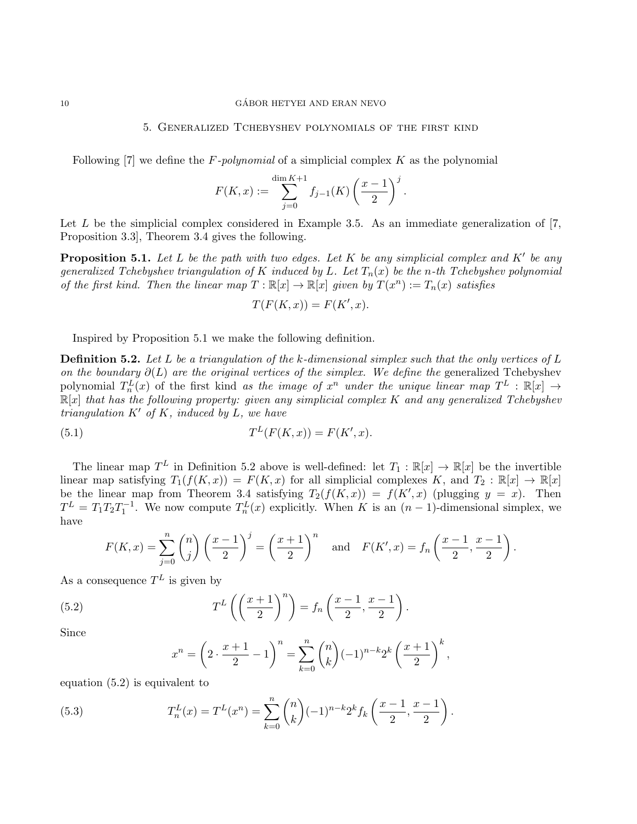### 10 GÁBOR HETYEI AND ERAN NEVO

### 5. Generalized Tchebyshev polynomials of the first kind

Following  $[7]$  we define the F-polynomial of a simplicial complex K as the polynomial

$$
F(K, x) := \sum_{j=0}^{\dim K + 1} f_{j-1}(K) \left(\frac{x-1}{2}\right)^j.
$$

Let  $L$  be the simplicial complex considered in Example 3.5. As an immediate generalization of  $[7, 6]$ Proposition 3.3], Theorem 3.4 gives the following.

**Proposition 5.1.** Let L be the path with two edges. Let K be any simplicial complex and K' be any generalized Tchebyshev triangulation of K induced by L. Let  $T_n(x)$  be the n-th Tchebyshev polynomial of the first kind. Then the linear map  $T : \mathbb{R}[x] \to \mathbb{R}[x]$  given by  $T(x^n) := T_n(x)$  satisfies

$$
T(F(K, x)) = F(K', x).
$$

Inspired by Proposition 5.1 we make the following definition.

**Definition 5.2.** Let L be a triangulation of the k-dimensional simplex such that the only vertices of L on the boundary  $\partial(L)$  are the original vertices of the simplex. We define the generalized Tchebyshev polynomial  $T_n^L(x)$  of the first kind as the image of  $x^n$  under the unique linear map  $T^L : \mathbb{R}[x] \to$  $\mathbb{R}[x]$  that has the following property: given any simplicial complex K and any generalized Tchebyshev triangulation  $K'$  of K, induced by L, we have

(5.1) 
$$
T^{L}(F(K, x)) = F(K', x).
$$

The linear map  $T^L$  in Definition 5.2 above is well-defined: let  $T_1 : \mathbb{R}[x] \to \mathbb{R}[x]$  be the invertible linear map satisfying  $T_1(f(K,x)) = F(K,x)$  for all simplicial complexes K, and  $T_2 : \mathbb{R}[x] \to \mathbb{R}[x]$ be the linear map from Theorem 3.4 satisfying  $T_2(f(K,x)) = f(K',x)$  (plugging  $y = x$ ). Then  $T^{L} = T_{1}T_{2}T_{1}^{-1}$ . We now compute  $T_{n}^{L}(x)$  explicitly. When K is an  $(n-1)$ -dimensional simplex, we have

$$
F(K,x) = \sum_{j=0}^{n} {n \choose j} \left(\frac{x-1}{2}\right)^j = \left(\frac{x+1}{2}\right)^n \quad \text{and} \quad F(K',x) = f_n\left(\frac{x-1}{2}, \frac{x-1}{2}\right).
$$

As a consequence  $T^L$  is given by

(5.2) 
$$
T^{L}\left(\left(\frac{x+1}{2}\right)^{n}\right) = f_{n}\left(\frac{x-1}{2}, \frac{x-1}{2}\right).
$$

Since

$$
x^{n} = \left(2 \cdot \frac{x+1}{2} - 1\right)^{n} = \sum_{k=0}^{n} {n \choose k} (-1)^{n-k} 2^{k} \left(\frac{x+1}{2}\right)^{k},
$$

equation (5.2) is equivalent to

(5.3) 
$$
T_n^L(x) = T^L(x^n) = \sum_{k=0}^n \binom{n}{k} (-1)^{n-k} 2^k f_k\left(\frac{x-1}{2}, \frac{x-1}{2}\right).
$$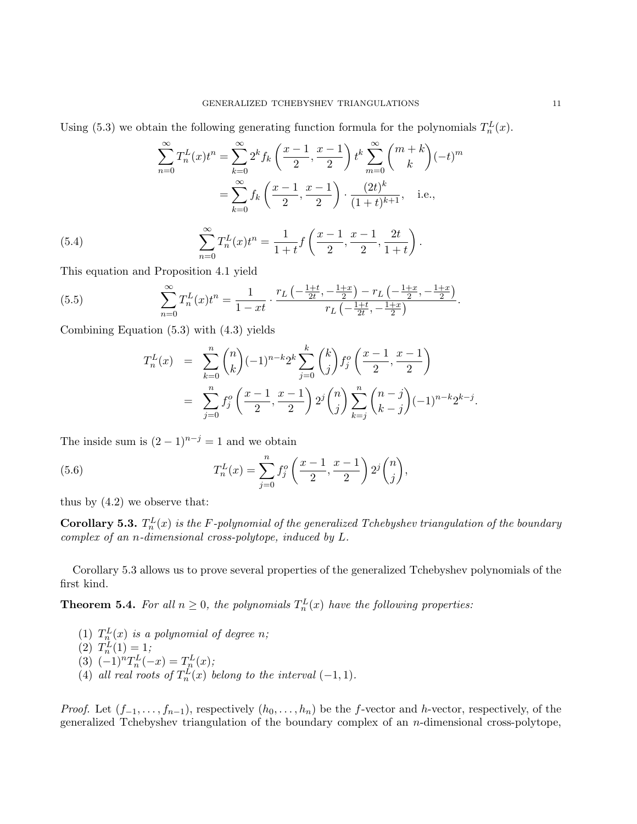Using (5.3) we obtain the following generating function formula for the polynomials  $T_n^L(x)$ .

(5.4)  
\n
$$
\sum_{n=0}^{\infty} T_n^L(x) t^n = \sum_{k=0}^{\infty} 2^k f_k \left( \frac{x-1}{2}, \frac{x-1}{2} \right) t^k \sum_{m=0}^{\infty} {m+k \choose k} (-t)^m
$$
\n
$$
= \sum_{k=0}^{\infty} f_k \left( \frac{x-1}{2}, \frac{x-1}{2} \right) \cdot \frac{(2t)^k}{(1+t)^{k+1}}, \quad \text{i.e.,}
$$
\n
$$
\sum_{n=0}^{\infty} T_n^L(x) t^n = \frac{1}{1+t} f \left( \frac{x-1}{2}, \frac{x-1}{2}, \frac{2t}{1+t} \right).
$$

This equation and Proposition 4.1 yield

(5.5) 
$$
\sum_{n=0}^{\infty} T_n^L(x) t^n = \frac{1}{1 - xt} \cdot \frac{r_L\left(-\frac{1+t}{2t}, -\frac{1+x}{2}\right) - r_L\left(-\frac{1+x}{2}, -\frac{1+x}{2}\right)}{r_L\left(-\frac{1+t}{2t}, -\frac{1+x}{2}\right)}.
$$

Combining Equation (5.3) with (4.3) yields

$$
T_n^L(x) = \sum_{k=0}^n {n \choose k} (-1)^{n-k} 2^k \sum_{j=0}^k {k \choose j} f_j^o\left(\frac{x-1}{2}, \frac{x-1}{2}\right)
$$
  

$$
= \sum_{j=0}^n f_j^o\left(\frac{x-1}{2}, \frac{x-1}{2}\right) 2^j {n \choose j} \sum_{k=j}^n {n-j \choose k-j} (-1)^{n-k} 2^{k-j}.
$$

The inside sum is  $(2-1)^{n-j} = 1$  and we obtain

(5.6) 
$$
T_n^L(x) = \sum_{j=0}^n f_j^o\left(\frac{x-1}{2}, \frac{x-1}{2}\right) 2^j {n \choose j},
$$

thus by  $(4.2)$  we observe that:

**Corollary 5.3.**  $T_n^L(x)$  is the F-polynomial of the generalized Tchebyshev triangulation of the boundary complex of an n-dimensional cross-polytope, induced by L.

Corollary 5.3 allows us to prove several properties of the generalized Tchebyshev polynomials of the first kind.

**Theorem 5.4.** For all  $n \geq 0$ , the polynomials  $T_n^L(x)$  have the following properties:

- (1)  $T_{n}^{L}(x)$  is a polynomial of degree n;
- (2)  $T_n^L(1) = 1;$
- (3)  $(-1)^n T_n^L(-x) = T_n^L(x);$
- (4) all real roots of  $T_n^L(x)$  belong to the interval  $(-1, 1)$ .

*Proof.* Let  $(f_{-1},...,f_{n-1})$ , respectively  $(h_0,...,h_n)$  be the f-vector and h-vector, respectively, of the generalized Tchebyshev triangulation of the boundary complex of an  $n$ -dimensional cross-polytope,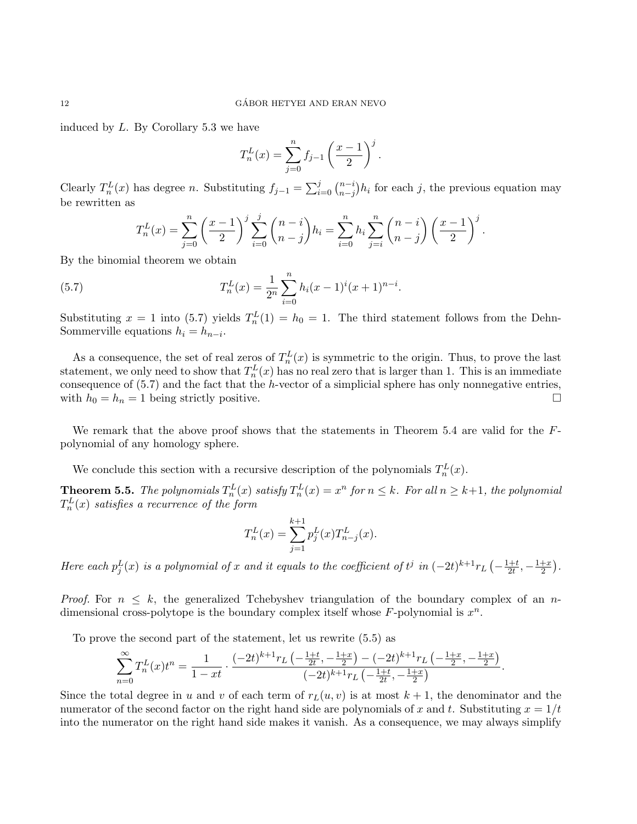induced by L. By Corollary 5.3 we have

$$
T_n^L(x) = \sum_{j=0}^n f_{j-1} \left(\frac{x-1}{2}\right)^j.
$$

Clearly  $T_n^L(x)$  has degree n. Substituting  $f_{j-1} = \sum_{i=0}^j {n-i \choose n-j}$  $\binom{n-i}{n-j}h_i$  for each j, the previous equation may be rewritten as

$$
T_n^L(x) = \sum_{j=0}^n \left(\frac{x-1}{2}\right)^j \sum_{i=0}^j \binom{n-i}{n-j} h_i = \sum_{i=0}^n h_i \sum_{j=i}^n \binom{n-i}{n-j} \left(\frac{x-1}{2}\right)^j.
$$

By the binomial theorem we obtain

(5.7) 
$$
T_n^L(x) = \frac{1}{2^n} \sum_{i=0}^n h_i (x-1)^i (x+1)^{n-i}.
$$

Substituting  $x = 1$  into (5.7) yields  $T_n^L(1) = h_0 = 1$ . The third statement follows from the Dehn-Sommerville equations  $h_i = h_{n-i}$ .

As a consequence, the set of real zeros of  $T_n^L(x)$  is symmetric to the origin. Thus, to prove the last statement, we only need to show that  $T_n^L(x)$  has no real zero that is larger than 1. This is an immediate consequence of  $(5.7)$  and the fact that the h-vector of a simplicial sphere has only nonnegative entries, with  $h_0 = h_n = 1$  being strictly positive.

We remark that the above proof shows that the statements in Theorem 5.4 are valid for the Fpolynomial of any homology sphere.

We conclude this section with a recursive description of the polynomials  $T_n^L(x)$ .

**Theorem 5.5.** The polynomials  $T_n^L(x)$  satisfy  $T_n^L(x) = x^n$  for  $n \leq k$ . For all  $n \geq k+1$ , the polynomial  $T_n^L(x)$  satisfies a recurrence of the form

$$
T_n^L(x) = \sum_{j=1}^{k+1} p_j^L(x) T_{n-j}^L(x).
$$

Here each  $p_j^L(x)$  is a polynomial of x and it equals to the coefficient of  $t^j$  in  $(-2t)^{k+1}r_L$   $\left(-\frac{1+t}{2t}\right)$  $\frac{1+t}{2t}, -\frac{1+x}{2}$  $\frac{+x}{2}$ .

*Proof.* For  $n \leq k$ , the generalized Tchebyshev triangulation of the boundary complex of an ndimensional cross-polytope is the boundary complex itself whose  $F$ -polynomial is  $x^n$ .

To prove the second part of the statement, let us rewrite (5.5) as

$$
\sum_{n=0}^{\infty} T_n^L(x) t^n = \frac{1}{1-xt} \cdot \frac{(-2t)^{k+1} r_L\left(-\frac{1+t}{2t},-\frac{1+x}{2}\right) - (-2t)^{k+1} r_L\left(-\frac{1+x}{2},-\frac{1+x}{2}\right)}{(-2t)^{k+1} r_L\left(-\frac{1+t}{2t},-\frac{1+x}{2}\right)}.
$$

Since the total degree in u and v of each term of  $r<sub>L</sub>(u, v)$  is at most  $k + 1$ , the denominator and the numerator of the second factor on the right hand side are polynomials of x and t. Substituting  $x = 1/t$ into the numerator on the right hand side makes it vanish. As a consequence, we may always simplify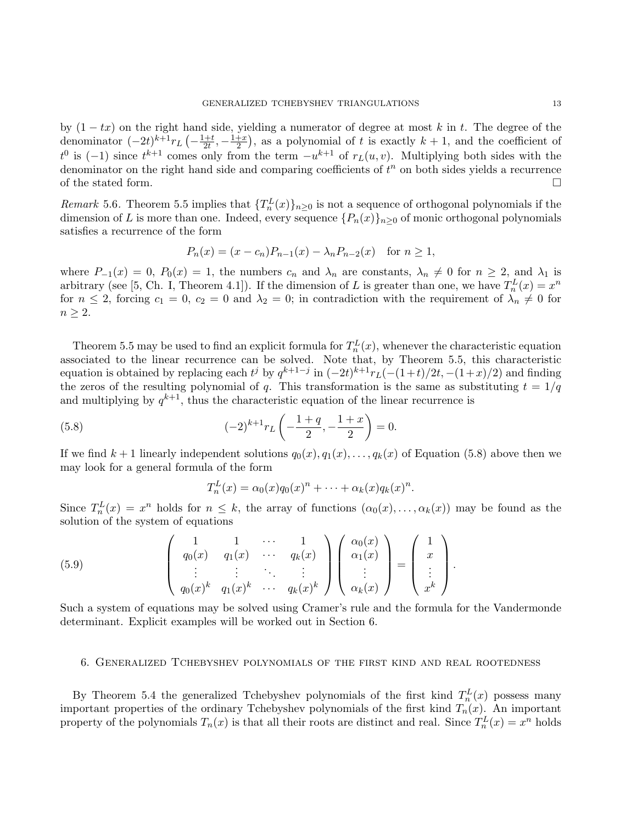by  $(1 - tx)$  on the right hand side, yielding a numerator of degree at most k in t. The degree of the denominator  $(-2t)^{k+1}r_L\left(-\frac{1+t}{2t}\right)$  $\frac{1+t}{2t}, -\frac{1+x}{2}$  $\frac{+x}{2}$ , as a polynomial of t is exactly  $k + 1$ , and the coefficient of  $t^0$  is  $(-1)$  since  $t^{k+1}$  comes only from the term  $-u^{k+1}$  of  $r<sub>L</sub>(u, v)$ . Multiplying both sides with the denominator on the right hand side and comparing coefficients of  $t^n$  on both sides yields a recurrence of the stated form.  $\Box$ 

Remark 5.6. Theorem 5.5 implies that  $\{T_n^L(x)\}_{n\geq 0}$  is not a sequence of orthogonal polynomials if the dimension of L is more than one. Indeed, every sequence  $\{P_n(x)\}_{n\geq 0}$  of monic orthogonal polynomials satisfies a recurrence of the form

$$
P_n(x) = (x - c_n)P_{n-1}(x) - \lambda_n P_{n-2}(x) \text{ for } n \ge 1,
$$

where  $P_{-1}(x) = 0$ ,  $P_0(x) = 1$ , the numbers  $c_n$  and  $\lambda_n$  are constants,  $\lambda_n \neq 0$  for  $n \geq 2$ , and  $\lambda_1$  is arbitrary (see [5, Ch. I, Theorem 4.1]). If the dimension of L is greater than one, we have  $T_n^L(x) = x^n$ for  $n \leq 2$ , forcing  $c_1 = 0$ ,  $c_2 = 0$  and  $\lambda_2 = 0$ ; in contradiction with the requirement of  $\lambda_n \neq 0$  for  $n \geq 2$ .

Theorem 5.5 may be used to find an explicit formula for  $T_n^L(x)$ , whenever the characteristic equation associated to the linear recurrence can be solved. Note that, by Theorem 5.5, this characteristic equation is obtained by replacing each  $t^j$  by  $q^{k+1-j}$  in  $(-2t)^{k+1}r_L(-(1+t)/2t, -(1+x)/2)$  and finding the zeros of the resulting polynomial of q. This transformation is the same as substituting  $t = 1/q$ and multiplying by  $q^{k+1}$ , thus the characteristic equation of the linear recurrence is

(5.8) 
$$
(-2)^{k+1} r_L \left(-\frac{1+q}{2}, -\frac{1+x}{2}\right) = 0.
$$

If we find  $k+1$  linearly independent solutions  $q_0(x), q_1(x), \ldots, q_k(x)$  of Equation (5.8) above then we may look for a general formula of the form

$$
T_n^L(x) = \alpha_0(x)q_0(x)^n + \cdots + \alpha_k(x)q_k(x)^n.
$$

Since  $T_n^L(x) = x^n$  holds for  $n \leq k$ , the array of functions  $(\alpha_0(x), \ldots, \alpha_k(x))$  may be found as the solution of the system of equations

(5.9) 
$$
\begin{pmatrix} 1 & 1 & \cdots & 1 \\ q_0(x) & q_1(x) & \cdots & q_k(x) \\ \vdots & \vdots & \ddots & \vdots \\ q_0(x)^k & q_1(x)^k & \cdots & q_k(x)^k \end{pmatrix} \begin{pmatrix} \alpha_0(x) \\ \alpha_1(x) \\ \vdots \\ \alpha_k(x) \end{pmatrix} = \begin{pmatrix} 1 \\ x \\ \vdots \\ x^k \end{pmatrix}.
$$

Such a system of equations may be solved using Cramer's rule and the formula for the Vandermonde determinant. Explicit examples will be worked out in Section 6.

### 6. Generalized Tchebyshev polynomials of the first kind and real rootedness

By Theorem 5.4 the generalized Tchebyshev polynomials of the first kind  $T_n^L(x)$  possess many important properties of the ordinary Tchebyshev polynomials of the first kind  $T_n(x)$ . An important property of the polynomials  $T_n(x)$  is that all their roots are distinct and real. Since  $T_n^L(x) = x^n$  holds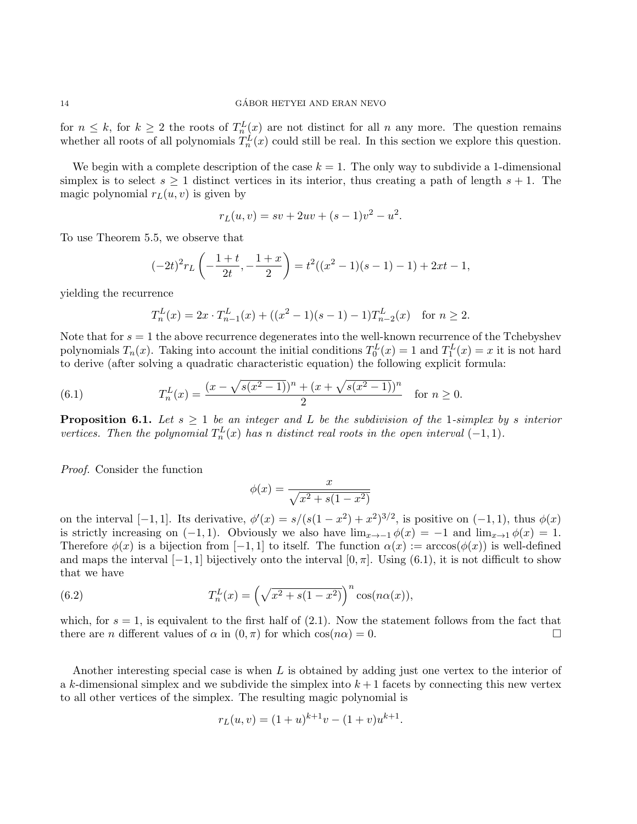for  $n \leq k$ , for  $k \geq 2$  the roots of  $T_n^L(x)$  are not distinct for all n any more. The question remains whether all roots of all polynomials  $T_n^L(x)$  could still be real. In this section we explore this question.

We begin with a complete description of the case  $k = 1$ . The only way to subdivide a 1-dimensional simplex is to select  $s \geq 1$  distinct vertices in its interior, thus creating a path of length  $s + 1$ . The magic polynomial  $r<sub>L</sub>(u, v)$  is given by

$$
r_L(u, v) = sv + 2uv + (s - 1)v^2 - u^2.
$$

To use Theorem 5.5, we observe that

$$
(-2t)^{2}r_{L}\left(-\frac{1+t}{2t}, -\frac{1+x}{2}\right) = t^{2}((x^{2} - 1)(s - 1) - 1) + 2xt - 1,
$$

yielding the recurrence

$$
T_n^L(x) = 2x \cdot T_{n-1}^L(x) + ((x^2 - 1)(s - 1) - 1)T_{n-2}^L(x) \quad \text{for } n \ge 2.
$$

Note that for  $s = 1$  the above recurrence degenerates into the well-known recurrence of the Tchebyshev polynomials  $T_n(x)$ . Taking into account the initial conditions  $T_0^L(x) = 1$  and  $T_1^L(x) = x$  it is not hard to derive (after solving a quadratic characteristic equation) the following explicit formula:

(6.1) 
$$
T_n^L(x) = \frac{(x - \sqrt{s(x^2 - 1)})^n + (x + \sqrt{s(x^2 - 1)})^n}{2} \text{ for } n \ge 0.
$$

**Proposition 6.1.** Let  $s \geq 1$  be an integer and L be the subdivision of the 1-simplex by s interior vertices. Then the polynomial  $T_n^L(x)$  has n distinct real roots in the open interval  $(-1, 1)$ .

Proof. Consider the function

$$
\phi(x) = \frac{x}{\sqrt{x^2 + s(1 - x^2)}}
$$

on the interval [-1,1]. Its derivative,  $\phi'(x) = s/(s(1-x^2) + x^2)^{3/2}$ , is positive on (-1,1), thus  $\phi(x)$ is strictly increasing on  $(-1, 1)$ . Obviously we also have  $\lim_{x\to -1} \phi(x) = -1$  and  $\lim_{x\to 1} \phi(x) = 1$ . Therefore  $\phi(x)$  is a bijection from [-1, 1] to itself. The function  $\alpha(x) := \arccos(\phi(x))$  is well-defined and maps the interval  $[-1, 1]$  bijectively onto the interval  $[0, \pi]$ . Using  $(6.1)$ , it is not difficult to show that we have

(6.2) 
$$
T_n^L(x) = \left(\sqrt{x^2 + s(1 - x^2)}\right)^n \cos(n\alpha(x)),
$$

which, for  $s = 1$ , is equivalent to the first half of (2.1). Now the statement follows from the fact that there are *n* different values of  $\alpha$  in  $(0, \pi)$  for which  $\cos(n\alpha) = 0$ .

Another interesting special case is when  $L$  is obtained by adding just one vertex to the interior of a k-dimensional simplex and we subdivide the simplex into  $k+1$  facets by connecting this new vertex to all other vertices of the simplex. The resulting magic polynomial is

$$
r_L(u, v) = (1 + u)^{k+1}v - (1 + v)u^{k+1}.
$$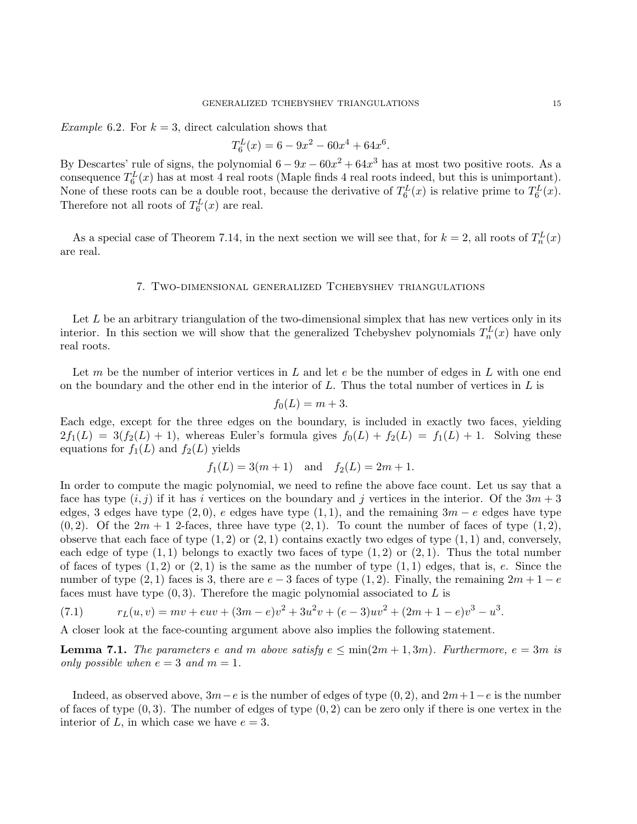*Example* 6.2. For  $k = 3$ , direct calculation shows that

$$
T_6^L(x) = 6 - 9x^2 - 60x^4 + 64x^6.
$$

By Descartes' rule of signs, the polynomial  $6 - 9x - 60x^2 + 64x^3$  has at most two positive roots. As a consequence  $T_6^L(x)$  has at most 4 real roots (Maple finds 4 real roots indeed, but this is unimportant). None of these roots can be a double root, because the derivative of  $T_6^L(x)$  is relative prime to  $T_6^L(x)$ . Therefore not all roots of  $T_6^L(x)$  are real.

As a special case of Theorem 7.14, in the next section we will see that, for  $k = 2$ , all roots of  $T_n^L(x)$ are real.

# 7. Two-dimensional generalized Tchebyshev triangulations

Let  $L$  be an arbitrary triangulation of the two-dimensional simplex that has new vertices only in its interior. In this section we will show that the generalized Tchebyshev polynomials  $T_n^L(x)$  have only real roots.

Let m be the number of interior vertices in L and let  $e$  be the number of edges in L with one end on the boundary and the other end in the interior of  $L$ . Thus the total number of vertices in  $L$  is

$$
f_0(L) = m + 3.
$$

Each edge, except for the three edges on the boundary, is included in exactly two faces, yielding  $2f_1(L) = 3(f_2(L) + 1)$ , whereas Euler's formula gives  $f_0(L) + f_2(L) = f_1(L) + 1$ . Solving these equations for  $f_1(L)$  and  $f_2(L)$  yields

$$
f_1(L) = 3(m+1)
$$
 and  $f_2(L) = 2m+1$ .

In order to compute the magic polynomial, we need to refine the above face count. Let us say that a face has type  $(i, j)$  if it has i vertices on the boundary and j vertices in the interior. Of the  $3m + 3$ edges, 3 edges have type  $(2, 0)$ , e edges have type  $(1, 1)$ , and the remaining  $3m - e$  edges have type  $(0, 2)$ . Of the  $2m + 1$  2-faces, three have type  $(2, 1)$ . To count the number of faces of type  $(1, 2)$ , observe that each face of type  $(1, 2)$  or  $(2, 1)$  contains exactly two edges of type  $(1, 1)$  and, conversely, each edge of type  $(1, 1)$  belongs to exactly two faces of type  $(1, 2)$  or  $(2, 1)$ . Thus the total number of faces of types  $(1, 2)$  or  $(2, 1)$  is the same as the number of type  $(1, 1)$  edges, that is, e. Since the number of type  $(2, 1)$  faces is 3, there are  $e - 3$  faces of type  $(1, 2)$ . Finally, the remaining  $2m + 1 - e$ faces must have type  $(0, 3)$ . Therefore the magic polynomial associated to L is

(7.1) 
$$
r_L(u,v) = mv + euv + (3m - e)v^2 + 3u^2v + (e-3)uv^2 + (2m + 1 - e)v^3 - u^3.
$$

A closer look at the face-counting argument above also implies the following statement.

**Lemma 7.1.** The parameters e and m above satisfy  $e \le \min(2m + 1, 3m)$ . Furthermore,  $e = 3m$  is only possible when  $e = 3$  and  $m = 1$ .

Indeed, as observed above,  $3m-e$  is the number of edges of type  $(0, 2)$ , and  $2m+1-e$  is the number of faces of type  $(0, 3)$ . The number of edges of type  $(0, 2)$  can be zero only if there is one vertex in the interior of L, in which case we have  $e = 3$ .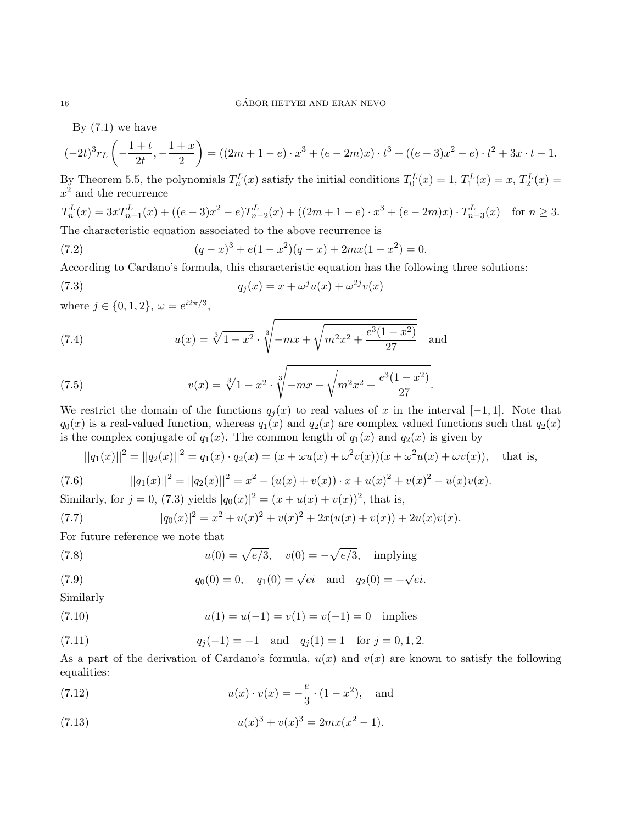By  $(7.1)$  we have

$$
(-2t)^{3}r_{L}\left(-\frac{1+t}{2t}, -\frac{1+x}{2}\right) = ((2m+1-e) \cdot x^{3} + (e-2m)x) \cdot t^{3} + ((e-3)x^{2} - e) \cdot t^{2} + 3x \cdot t - 1.
$$

By Theorem 5.5, the polynomials  $T_n^L(x)$  satisfy the initial conditions  $T_0^L(x) = 1$ ,  $T_1^L(x) = x$ ,  $T_2^L(x) =$  $x^2$  and the recurrence

$$
T_n^L(x) = 3x T_{n-1}^L(x) + ((e-3)x^2 - e) T_{n-2}^L(x) + ((2m+1-e) \cdot x^3 + (e-2m)x) \cdot T_{n-3}^L(x)
$$
 for  $n \ge 3$ .  
The characteristic equation associated to the above recurrence is

The characteristic equation associated to the above recurrence is

(7.2) 
$$
(q-x)^3 + e(1-x^2)(q-x) + 2mx(1-x^2) = 0.
$$

According to Cardano's formula, this characteristic equation has the following three solutions:

(7.3) 
$$
q_j(x) = x + \omega^j u(x) + \omega^{2j} v(x)
$$

where  $j \in \{0, 1, 2\}, \omega = e^{i2\pi/3}$ ,

(7.4) 
$$
u(x) = \sqrt[3]{1-x^2} \cdot \sqrt[3]{-mx + \sqrt{m^2x^2 + \frac{e^3(1-x^2)}{27}}} \text{ and}
$$

(7.5) 
$$
v(x) = \sqrt[3]{1-x^2} \cdot \sqrt[3]{-mx - \sqrt{m^2x^2 + \frac{e^3(1-x^2)}{27}}}.
$$

We restrict the domain of the functions  $q_i(x)$  to real values of x in the interval [−1, 1]. Note that  $q_0(x)$  is a real-valued function, whereas  $q_1(x)$  and  $q_2(x)$  are complex valued functions such that  $q_2(x)$ is the complex conjugate of  $q_1(x)$ . The common length of  $q_1(x)$  and  $q_2(x)$  is given by

$$
||q_1(x)||^2 = ||q_2(x)||^2 = q_1(x) \cdot q_2(x) = (x + \omega u(x) + \omega^2 v(x))(x + \omega^2 u(x) + \omega v(x)), \text{ that is,}
$$

(7.6) 
$$
||q_1(x)||^2 = ||q_2(x)||^2 = x^2 - (u(x) + v(x)) \cdot x + u(x)^2 + v(x)^2 - u(x)v(x).
$$

Similarly, for  $j = 0$ , (7.3) yields  $|q_0(x)|^2 = (x + u(x) + v(x))^2$ , that is,

(7.7) 
$$
|q_0(x)|^2 = x^2 + u(x)^2 + v(x)^2 + 2x(u(x) + v(x)) + 2u(x)v(x).
$$

For future reference we note that

(7.8) 
$$
u(0) = \sqrt{e/3}, \quad v(0) = -\sqrt{e/3}, \quad \text{implying}
$$

(7.9) 
$$
q_0(0) = 0
$$
,  $q_1(0) = \sqrt{e}i$  and  $q_2(0) = -\sqrt{e}i$ .

Similarly

(7.10) 
$$
u(1) = u(-1) = v(1) = v(-1) = 0 \text{ implies}
$$

(7.11) 
$$
q_j(-1) = -1
$$
 and  $q_j(1) = 1$  for  $j = 0, 1, 2$ .

As a part of the derivation of Cardano's formula,  $u(x)$  and  $v(x)$  are known to satisfy the following equalities:

(7.12) 
$$
u(x) \cdot v(x) = -\frac{e}{3} \cdot (1 - x^2), \text{ and}
$$

(7.13) 
$$
u(x)^3 + v(x)^3 = 2mx(x^2 - 1).
$$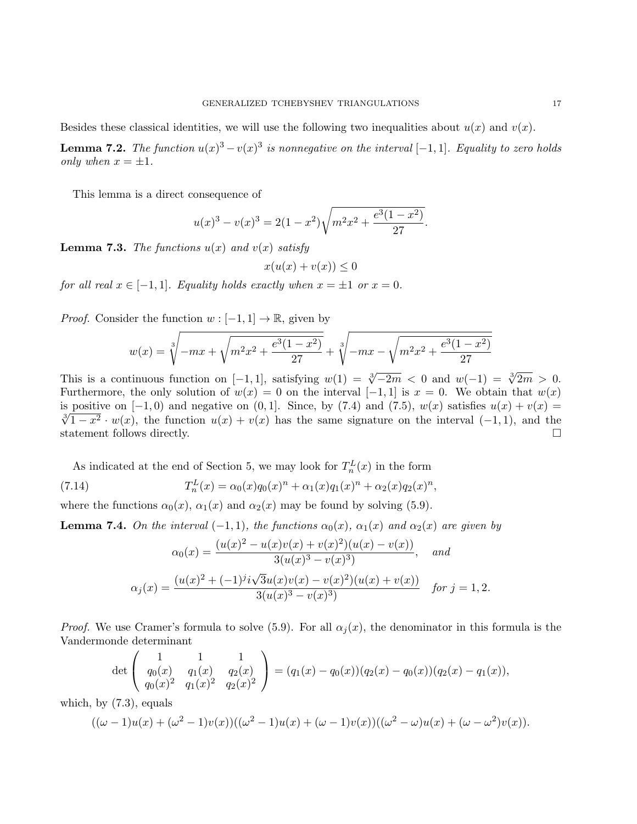Besides these classical identities, we will use the following two inequalities about  $u(x)$  and  $v(x)$ .

**Lemma 7.2.** The function  $u(x)^3 - v(x)^3$  is nonnegative on the interval  $[-1,1]$ . Equality to zero holds only when  $x = \pm 1$ .

This lemma is a direct consequence of

$$
u(x)^3 - v(x)^3 = 2(1 - x^2)\sqrt{m^2x^2 + \frac{e^3(1 - x^2)}{27}}.
$$

**Lemma 7.3.** The functions  $u(x)$  and  $v(x)$  satisfy

$$
x(u(x) + v(x)) \le 0
$$

for all real  $x \in [-1, 1]$ . Equality holds exactly when  $x = \pm 1$  or  $x = 0$ .

*Proof.* Consider the function  $w : [-1,1] \to \mathbb{R}$ , given by

$$
w(x) = \sqrt[3]{-mx + \sqrt{m^2x^2 + \frac{e^3(1-x^2)}{27}}} + \sqrt[3]{-mx - \sqrt{m^2x^2 + \frac{e^3(1-x^2)}{27}}}
$$

This is a continuous function on [-1, 1], satisfying  $w(1) = \sqrt[3]{-2m} < 0$  and  $w(-1) = \sqrt[3]{2m} > 0$ . Furthermore, the only solution of  $w(x) = 0$  on the interval  $[-1, 1]$  is  $x = 0$ . We obtain that  $w(x)$ is positive on  $[-1, 0)$  and negative on  $(0, 1]$ . Since, by (7.4) and (7.5),  $w(x)$  satisfies  $u(x) + v(x) =$ Solutive on  $[-1, 0)$  and negative on  $[0, 1]$ . Since, by  $(1.4)$  and  $(1.5)$ ,  $w(x)$  satisfies  $u(x) + v(x) =$ <br> $\sqrt[3]{1-x^2} \cdot w(x)$ , the function  $u(x) + v(x)$  has the same signature on the interval  $(-1, 1)$ , and the statement follows directly.

As indicated at the end of Section 5, we may look for  $T_n^L(x)$  in the form

(7.14) 
$$
T_n^L(x) = \alpha_0(x)q_0(x)^n + \alpha_1(x)q_1(x)^n + \alpha_2(x)q_2(x)^n,
$$

where the functions  $\alpha_0(x)$ ,  $\alpha_1(x)$  and  $\alpha_2(x)$  may be found by solving (5.9).

**Lemma 7.4.** On the interval  $(-1, 1)$ , the functions  $\alpha_0(x)$ ,  $\alpha_1(x)$  and  $\alpha_2(x)$  are given by

$$
\alpha_0(x) = \frac{(u(x)^2 - u(x)v(x) + v(x)^2)(u(x) - v(x))}{3(u(x)^3 - v(x)^3)}, \quad \text{and}
$$

$$
\alpha_j(x) = \frac{(u(x)^2 + (-1)^j i\sqrt{3}u(x)v(x) - v(x)^2)(u(x) + v(x))}{3(u(x)^3 - v(x)^3)}, \quad \text{for } j = 1, 2.
$$

*Proof.* We use Cramer's formula to solve (5.9). For all  $\alpha_i(x)$ , the denominator in this formula is the Vandermonde determinant

$$
\det\left(\begin{array}{cc}1 & 1 & 1 \ q_0(x) & q_1(x) & q_2(x) \ q_0(x)^2 & q_1(x)^2 & q_2(x)^2\end{array}\right) = (q_1(x) - q_0(x))(q_2(x) - q_0(x))(q_2(x) - q_1(x)),
$$

which, by (7.3), equals

$$
((\omega - 1)u(x) + (\omega^2 - 1)v(x))((\omega^2 - 1)u(x) + (\omega - 1)v(x))((\omega^2 - \omega)u(x) + (\omega - \omega^2)v(x)).
$$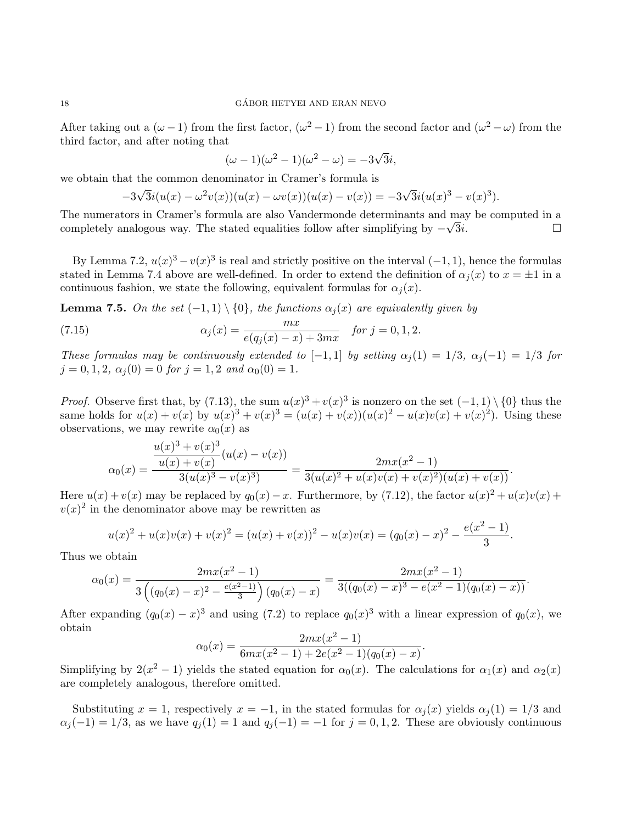After taking out a  $(\omega - 1)$  from the first factor,  $(\omega^2 - 1)$  from the second factor and  $(\omega^2 - \omega)$  from the third factor, and after noting that

$$
(\omega - 1)(\omega^2 - 1)(\omega^2 - \omega) = -3\sqrt{3}i,
$$

we obtain that the common denominator in Cramer's formula is

$$
-3\sqrt{3}i(u(x) - \omega^2 v(x))(u(x) - \omega v(x))(u(x) - v(x)) = -3\sqrt{3}i(u(x)^3 - v(x)^3).
$$

The numerators in Cramer's formula are also Vandermonde determinants and may be computed in a completely analogous way. The stated equalities follow after simplifying by  $-\sqrt{3}i$ .

By Lemma 7.2,  $u(x)^3 - v(x)^3$  is real and strictly positive on the interval  $(-1, 1)$ , hence the formulas stated in Lemma 7.4 above are well-defined. In order to extend the definition of  $\alpha_i(x)$  to  $x = \pm 1$  in a continuous fashion, we state the following, equivalent formulas for  $\alpha_i(x)$ .

**Lemma 7.5.** On the set  $(-1,1) \setminus \{0\}$ , the functions  $\alpha_j(x)$  are equivalently given by

(7.15) 
$$
\alpha_j(x) = \frac{mx}{e(q_j(x) - x) + 3mx} \quad \text{for } j = 0, 1, 2.
$$

These formulas may be continuously extended to [-1,1] by setting  $\alpha_i(1) = 1/3$ ,  $\alpha_i(-1) = 1/3$  for  $j = 0, 1, 2, \alpha_j(0) = 0$  for  $j = 1, 2$  and  $\alpha_0(0) = 1$ .

*Proof.* Observe first that, by (7.13), the sum  $u(x)^3 + v(x)^3$  is nonzero on the set  $(-1,1) \setminus \{0\}$  thus the same holds for  $u(x) + v(x)$  by  $u(x)^3 + v(x)^3 = (u(x) + v(x))(u(x)^2 - u(x)v(x) + v(x)^2)$ . Using these observations, we may rewrite  $\alpha_0(x)$  as

$$
\alpha_0(x) = \frac{\frac{u(x)^3 + v(x)^3}{u(x) + v(x)}(u(x) - v(x))}{3(u(x)^3 - v(x)^3)} = \frac{2mx(x^2 - 1)}{3(u(x)^2 + u(x)v(x) + v(x)^2)(u(x) + v(x))}.
$$

Here  $u(x) + v(x)$  may be replaced by  $q_0(x) - x$ . Furthermore, by (7.12), the factor  $u(x)^2 + u(x)v(x) + v(x)$  $v(x)^2$  in the denominator above may be rewritten as

$$
u(x)^{2} + u(x)v(x) + v(x)^{2} = (u(x) + v(x))^{2} - u(x)v(x) = (q_{0}(x) - x)^{2} - \frac{e(x^{2} - 1)}{3}.
$$

Thus we obtain

$$
\alpha_0(x) = \frac{2mx(x^2 - 1)}{3\left((q_0(x) - x)^2 - \frac{e(x^2 - 1)}{3}\right)(q_0(x) - x)} = \frac{2mx(x^2 - 1)}{3((q_0(x) - x)^3 - e(x^2 - 1)(q_0(x) - x))}.
$$

After expanding  $(q_0(x) - x)^3$  and using (7.2) to replace  $q_0(x)^3$  with a linear expression of  $q_0(x)$ , we obtain  $2 \cdot 2$ 

$$
\alpha_0(x) = \frac{2mx(x^2 - 1)}{6mx(x^2 - 1) + 2e(x^2 - 1)(q_0(x) - x)}
$$

.

Simplifying by  $2(x^2 - 1)$  yields the stated equation for  $\alpha_0(x)$ . The calculations for  $\alpha_1(x)$  and  $\alpha_2(x)$ are completely analogous, therefore omitted.

Substituting  $x = 1$ , respectively  $x = -1$ , in the stated formulas for  $\alpha_j(x)$  yields  $\alpha_j(1) = 1/3$  and  $\alpha_j(-1) = 1/3$ , as we have  $q_j(1) = 1$  and  $q_j(-1) = -1$  for  $j = 0, 1, 2$ . These are obviously continuous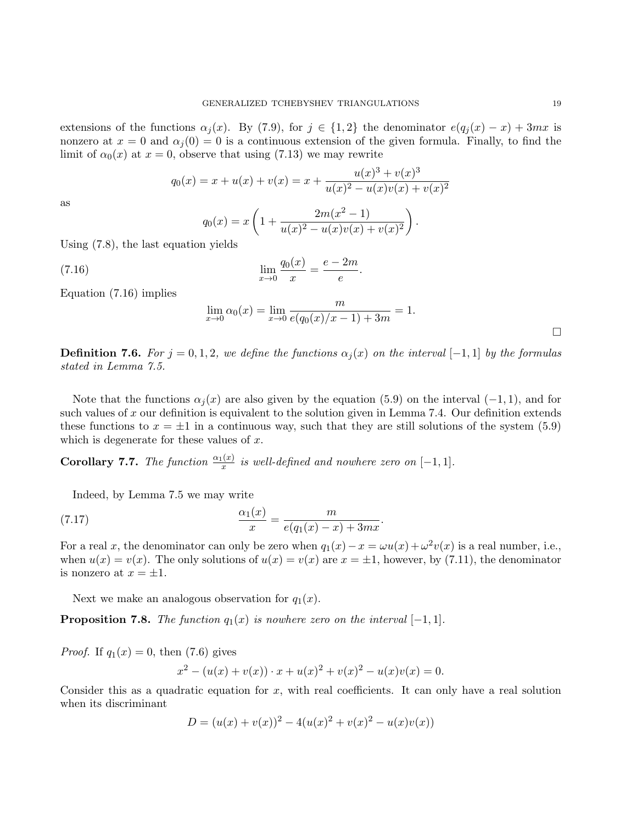extensions of the functions  $\alpha_i(x)$ . By (7.9), for  $j \in \{1,2\}$  the denominator  $e(q_i(x) - x) + 3mx$  is nonzero at  $x = 0$  and  $\alpha_i(0) = 0$  is a continuous extension of the given formula. Finally, to find the limit of  $\alpha_0(x)$  at  $x = 0$ , observe that using (7.13) we may rewrite

$$
q_0(x) = x + u(x) + v(x) = x + \frac{u(x)^3 + v(x)^3}{u(x)^2 - u(x)v(x) + v(x)^2}
$$

as

$$
q_0(x) = x \left( 1 + \frac{2m(x^2 - 1)}{u(x)^2 - u(x)v(x) + v(x)^2} \right).
$$

Using (7.8), the last equation yields

(7.16) 
$$
\lim_{x \to 0} \frac{q_0(x)}{x} = \frac{e - 2m}{e}
$$

Equation (7.16) implies

$$
\lim_{x \to 0} \alpha_0(x) = \lim_{x \to 0} \frac{m}{e(q_0(x)/x - 1) + 3m} = 1.
$$

.

**Definition 7.6.** For  $j = 0, 1, 2$ , we define the functions  $\alpha_i(x)$  on the interval [−1, 1] by the formulas stated in Lemma 7.5.

Note that the functions  $\alpha_i(x)$  are also given by the equation (5.9) on the interval (-1, 1), and for such values of x our definition is equivalent to the solution given in Lemma 7.4. Our definition extends these functions to  $x = \pm 1$  in a continuous way, such that they are still solutions of the system (5.9) which is degenerate for these values of  $x$ .

**Corollary 7.7.** The function  $\frac{\alpha_1(x)}{x}$  is well-defined and nowhere zero on  $[-1,1]$ .

Indeed, by Lemma 7.5 we may write

(7.17) 
$$
\frac{\alpha_1(x)}{x} = \frac{m}{e(q_1(x) - x) + 3mx}.
$$

For a real x, the denominator can only be zero when  $q_1(x) - x = \omega u(x) + \omega^2 v(x)$  is a real number, i.e., when  $u(x) = v(x)$ . The only solutions of  $u(x) = v(x)$  are  $x = \pm 1$ , however, by (7.11), the denominator is nonzero at  $x = \pm 1$ .

Next we make an analogous observation for  $q_1(x)$ .

**Proposition 7.8.** The function  $q_1(x)$  is nowhere zero on the interval  $[-1, 1]$ .

*Proof.* If 
$$
q_1(x) = 0
$$
, then (7.6) gives  

$$
x^2 - (u(x) + v(x)) \cdot x + u(x)^2 + v(x)^2 - u(x)v(x) = 0.
$$

Consider this as a quadratic equation for  $x$ , with real coefficients. It can only have a real solution when its discriminant

$$
D = (u(x) + v(x))^2 - 4(u(x)^2 + v(x)^2 - u(x)v(x))
$$

 $\Box$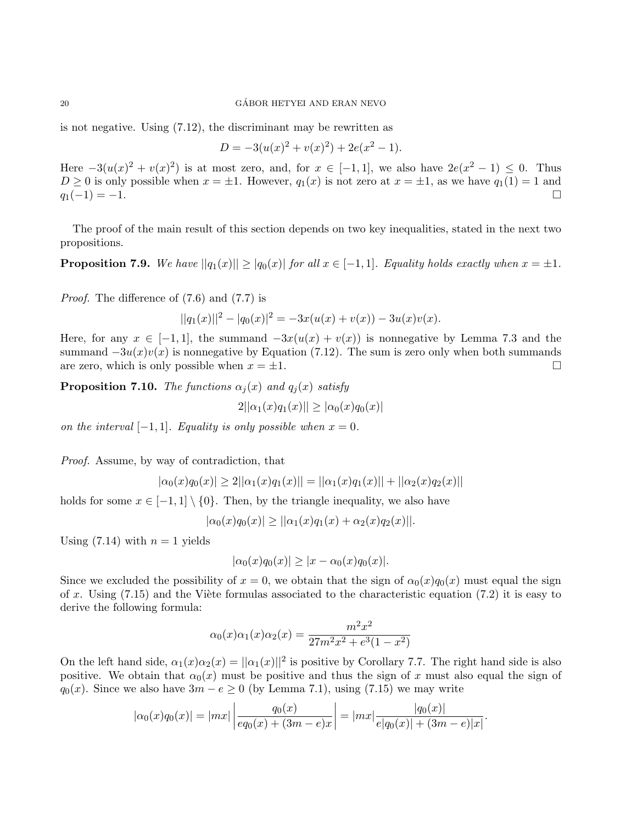is not negative. Using (7.12), the discriminant may be rewritten as

$$
D = -3(u(x)^{2} + v(x)^{2}) + 2e(x^{2} - 1).
$$

Here  $-3(u(x)^2 + v(x)^2)$  is at most zero, and, for  $x \in [-1,1]$ , we also have  $2e(x^2 - 1) \leq 0$ . Thus  $D \ge 0$  is only possible when  $x = \pm 1$ . However,  $q_1(x)$  is not zero at  $x = \pm 1$ , as we have  $q_1(1) = 1$  and  $q_1(-1) = -1.$ 

The proof of the main result of this section depends on two key inequalities, stated in the next two propositions.

**Proposition 7.9.** We have  $||q_1(x)|| \geq |q_0(x)|$  for all  $x \in [-1,1]$ . Equality holds exactly when  $x = \pm 1$ .

Proof. The difference of (7.6) and (7.7) is

$$
||q_1(x)||^2 - |q_0(x)|^2 = -3x(u(x) + v(x)) - 3u(x)v(x).
$$

Here, for any  $x \in [-1,1]$ , the summand  $-3x(u(x) + v(x))$  is nonnegative by Lemma 7.3 and the summand  $-3u(x)v(x)$  is nonnegative by Equation (7.12). The sum is zero only when both summands are zero, which is only possible when  $x = \pm 1$ .

**Proposition 7.10.** The functions  $\alpha_i(x)$  and  $q_i(x)$  satisfy

$$
2||\alpha_1(x)q_1(x)|| \ge |\alpha_0(x)q_0(x)|
$$

on the interval  $[-1, 1]$ . Equality is only possible when  $x = 0$ .

Proof. Assume, by way of contradiction, that

$$
|\alpha_0(x)q_0(x)| \ge 2||\alpha_1(x)q_1(x)|| = ||\alpha_1(x)q_1(x)|| + ||\alpha_2(x)q_2(x)||
$$

holds for some  $x \in [-1,1] \setminus \{0\}$ . Then, by the triangle inequality, we also have

$$
|\alpha_0(x)q_0(x)| \geq ||\alpha_1(x)q_1(x) + \alpha_2(x)q_2(x)||.
$$

Using  $(7.14)$  with  $n = 1$  yields

$$
|\alpha_0(x)q_0(x)| \ge |x - \alpha_0(x)q_0(x)|.
$$

Since we excluded the possibility of  $x = 0$ , we obtain that the sign of  $\alpha_0(x)q_0(x)$  must equal the sign of x. Using  $(7.15)$  and the Viète formulas associated to the characteristic equation  $(7.2)$  it is easy to derive the following formula:

$$
\alpha_0(x)\alpha_1(x)\alpha_2(x) = \frac{m^2x^2}{27m^2x^2 + e^3(1-x^2)}
$$

On the left hand side,  $\alpha_1(x)\alpha_2(x) = ||\alpha_1(x)||^2$  is positive by Corollary 7.7. The right hand side is also positive. We obtain that  $\alpha_0(x)$  must be positive and thus the sign of x must also equal the sign of  $q_0(x)$ . Since we also have  $3m - e \ge 0$  (by Lemma 7.1), using (7.15) we may write

$$
|\alpha_0(x)q_0(x)| = |mx| \left| \frac{q_0(x)}{eq_0(x) + (3m - e)x} \right| = |mx| \frac{|q_0(x)|}{e|q_0(x)| + (3m - e)|x|}
$$

.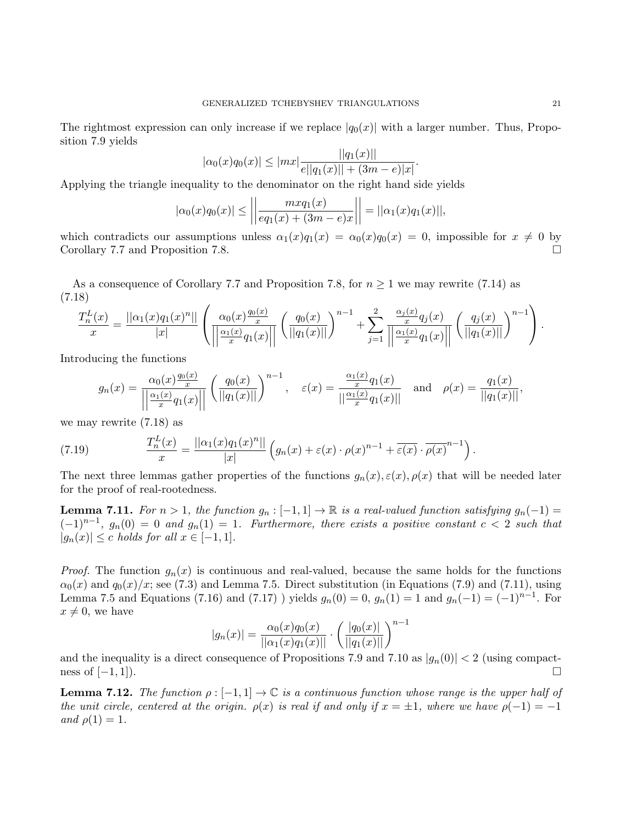The rightmost expression can only increase if we replace  $|q_0(x)|$  with a larger number. Thus, Proposition 7.9 yields

$$
|\alpha_0(x)q_0(x)| \le |mx| \frac{||q_1(x)||}{e||q_1(x)|| + (3m - e)|x|}.
$$

Applying the triangle inequality to the denominator on the right hand side yields

$$
|\alpha_0(x)q_0(x)| \le \left| \left| \frac{m x q_1(x)}{eq_1(x) + (3m - e)x} \right| \right| = ||\alpha_1(x)q_1(x)||,
$$

which contradicts our assumptions unless  $\alpha_1(x)q_1(x) = \alpha_0(x)q_0(x) = 0$ , impossible for  $x \neq 0$  by Corollary 7.7 and Proposition 7.8.

As a consequence of Corollary 7.7 and Proposition 7.8, for  $n \geq 1$  we may rewrite (7.14) as (7.18)

$$
\frac{T_n^L(x)}{x} = \frac{||\alpha_1(x)q_1(x)^n||}{|x|} \left( \frac{\alpha_0(x)\frac{q_0(x)}{x}}{||\frac{\alpha_1(x)}{x}q_1(x)||} \left( \frac{q_0(x)}{||q_1(x)||} \right)^{n-1} + \sum_{j=1}^2 \frac{\frac{\alpha_j(x)}{x}q_j(x)}{||\frac{\alpha_1(x)}{x}q_1(x)||} \left( \frac{q_j(x)}{||q_1(x)||} \right)^{n-1} \right).
$$

Introducing the functions

$$
g_n(x) = \frac{\alpha_0(x) \frac{q_0(x)}{x}}{\left| \left| \frac{\alpha_1(x)}{x} q_1(x) \right| \right|} \left( \frac{q_0(x)}{\|q_1(x)\|} \right)^{n-1}, \quad \varepsilon(x) = \frac{\frac{\alpha_1(x)}{x} q_1(x)}{\left| \left| \frac{\alpha_1(x)}{x} q_1(x) \right| \right|} \quad \text{and} \quad \rho(x) = \frac{q_1(x)}{\|q_1(x)\|},
$$

we may rewrite (7.18) as

(7.19) 
$$
\frac{T_n^L(x)}{x} = \frac{||\alpha_1(x)q_1(x)^n||}{|x|}\left(q_n(x) + \varepsilon(x)\cdot\rho(x)^{n-1} + \overline{\varepsilon(x)}\cdot\overline{\rho(x)}^{n-1}\right).
$$

The next three lemmas gather properties of the functions  $g_n(x), \varepsilon(x), \rho(x)$  that will be needed later for the proof of real-rootedness.

**Lemma 7.11.** For  $n > 1$ , the function  $g_n : [-1,1] \to \mathbb{R}$  is a real-valued function satisfying  $g_n(-1) =$  $(-1)^{n-1}$ ,  $g_n(0) = 0$  and  $g_n(1) = 1$ . Furthermore, there exists a positive constant  $c < 2$  such that  $|g_n(x)| \leq c$  holds for all  $x \in [-1,1]$ .

*Proof.* The function  $g_n(x)$  is continuous and real-valued, because the same holds for the functions  $\alpha_0(x)$  and  $q_0(x)/x$ ; see (7.3) and Lemma 7.5. Direct substitution (in Equations (7.9) and (7.11), using Lemma 7.5 and Equations (7.16) and (7.17) ) yields  $g_n(0) = 0$ ,  $g_n(1) = 1$  and  $g_n(-1) = (-1)^{n-1}$ . For  $x \neq 0$ , we have

$$
|g_n(x)| = \frac{\alpha_0(x)q_0(x)}{||\alpha_1(x)q_1(x)||} \cdot \left(\frac{|q_0(x)|}{||q_1(x)||}\right)^{n-1}
$$

and the inequality is a direct consequence of Propositions 7.9 and 7.10 as  $|g_n(0)| < 2$  (using compactness of  $[-1, 1]$ ).

**Lemma 7.12.** The function  $\rho : [-1, 1] \to \mathbb{C}$  is a continuous function whose range is the upper half of the unit circle, centered at the origin.  $\rho(x)$  is real if and only if  $x = \pm 1$ , where we have  $\rho(-1) = -1$ and  $\rho(1) = 1$ .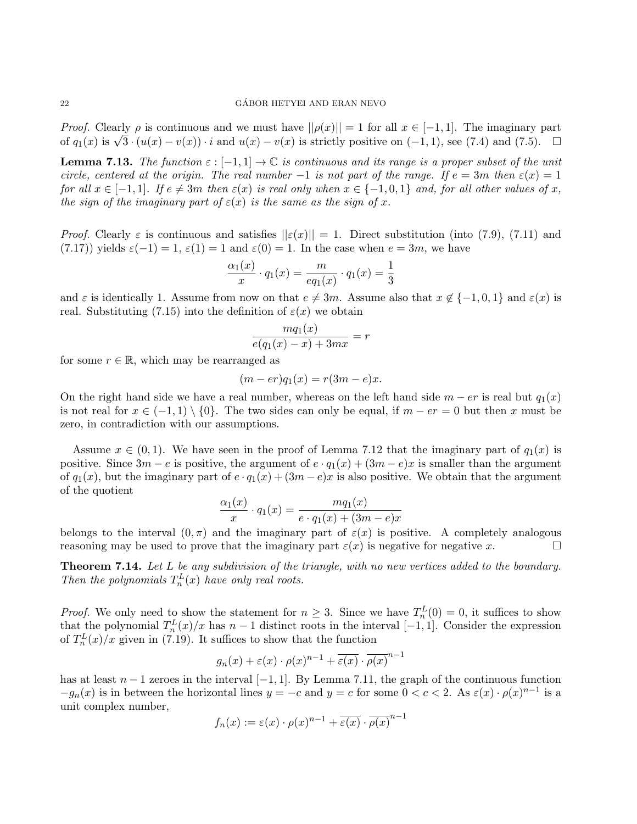*Proof.* Clearly  $\rho$  is continuous and we must have  $||\rho(x)|| = 1$  for all  $x \in [-1, 1]$ . The imaginary part *Froof.* Clearly *ρ* is continuous and we must have  $||p(x)|| = 1$  for an  $x \in [-1, 1]$ . The imaginary part of  $q_1(x)$  is  $\sqrt{3} \cdot (u(x) - v(x)) \cdot i$  and  $u(x) - v(x)$  is strictly positive on  $(-1, 1)$ , see (7.4) and (7.5).  $\Box$ 

**Lemma 7.13.** The function  $\varepsilon : [-1, 1] \to \mathbb{C}$  is continuous and its range is a proper subset of the unit circle, centered at the origin. The real number  $-1$  is not part of the range. If  $e = 3m$  then  $\varepsilon(x) = 1$ for all  $x \in [-1,1]$ . If  $e \neq 3m$  then  $\varepsilon(x)$  is real only when  $x \in \{-1,0,1\}$  and, for all other values of x, the sign of the imaginary part of  $\varepsilon(x)$  is the same as the sign of x.

*Proof.* Clearly  $\varepsilon$  is continuous and satisfies  $||\varepsilon(x)|| = 1$ . Direct substitution (into (7.9), (7.11) and  $(7.17)$ ) yields  $\varepsilon(-1) = 1$ ,  $\varepsilon(1) = 1$  and  $\varepsilon(0) = 1$ . In the case when  $e = 3m$ , we have

$$
\frac{\alpha_1(x)}{x} \cdot q_1(x) = \frac{m}{eq_1(x)} \cdot q_1(x) = \frac{1}{3}
$$

and  $\varepsilon$  is identically 1. Assume from now on that  $e \neq 3m$ . Assume also that  $x \notin \{-1,0,1\}$  and  $\varepsilon(x)$  is real. Substituting (7.15) into the definition of  $\varepsilon(x)$  we obtain

$$
\frac{mq_1(x)}{e(q_1(x)-x)+3mx} = r
$$

for some  $r \in \mathbb{R}$ , which may be rearranged as

$$
(m-er)q_1(x) = r(3m-e)x.
$$

On the right hand side we have a real number, whereas on the left hand side  $m - er$  is real but  $q_1(x)$ is not real for  $x \in (-1,1) \setminus \{0\}$ . The two sides can only be equal, if  $m - er = 0$  but then x must be zero, in contradiction with our assumptions.

Assume  $x \in (0,1)$ . We have seen in the proof of Lemma 7.12 that the imaginary part of  $q_1(x)$  is positive. Since  $3m - e$  is positive, the argument of  $e \cdot q_1(x) + (3m - e)x$  is smaller than the argument of  $q_1(x)$ , but the imaginary part of  $e \cdot q_1(x) + (3m - e)x$  is also positive. We obtain that the argument of the quotient

$$
\frac{\alpha_1(x)}{x} \cdot q_1(x) = \frac{mq_1(x)}{e \cdot q_1(x) + (3m - e)x}
$$

belongs to the interval  $(0, \pi)$  and the imaginary part of  $\varepsilon(x)$  is positive. A completely analogous reasoning may be used to prove that the imaginary part  $\varepsilon(x)$  is negative for negative x.

Theorem 7.14. Let L be any subdivision of the triangle, with no new vertices added to the boundary. Then the polynomials  $T_n^L(x)$  have only real roots.

*Proof.* We only need to show the statement for  $n \geq 3$ . Since we have  $T_n^L(0) = 0$ , it suffices to show that the polynomial  $T_n^L(x)/x$  has  $n-1$  distinct roots in the interval  $[-1,1]$ . Consider the expression of  $T_n^L(x)/x$  given in (7.19). It suffices to show that the function

$$
g_n(x) + \varepsilon(x) \cdot \rho(x)^{n-1} + \overline{\varepsilon(x)} \cdot \overline{\rho(x)}^{n-1}
$$

has at least  $n-1$  zeroes in the interval  $[-1, 1]$ . By Lemma 7.11, the graph of the continuous function  $-g_n(x)$  is in between the horizontal lines  $y = -c$  and  $y = c$  for some  $0 < c < 2$ . As  $\varepsilon(x) \cdot \rho(x)^{n-1}$  is a unit complex number, n−1

$$
f_n(x) := \varepsilon(x) \cdot \rho(x)^{n-1} + \overline{\varepsilon(x)} \cdot \overline{\rho(x)}^{n-1}
$$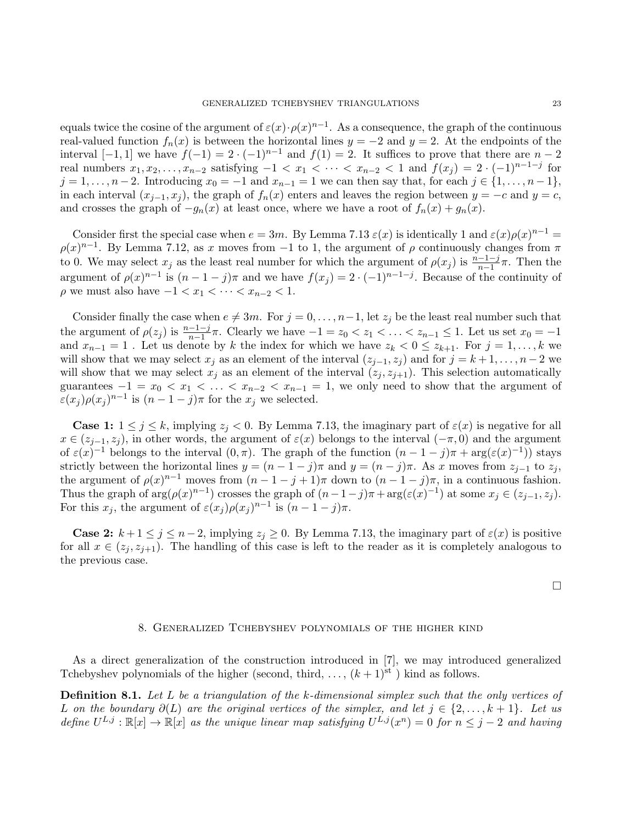equals twice the cosine of the argument of  $\varepsilon(x) \cdot \rho(x)^{n-1}$ . As a consequence, the graph of the continuous real-valued function  $f_n(x)$  is between the horizontal lines  $y = -2$  and  $y = 2$ . At the endpoints of the interval  $[-1, 1]$  we have  $f(-1) = 2 \cdot (-1)^{n-1}$  and  $f(1) = 2$ . It suffices to prove that there are  $n-2$ real numbers  $x_1, x_2, \ldots, x_{n-2}$  satisfying  $-1 < x_1 < \cdots < x_{n-2} < 1$  and  $f(x_j) = 2 \cdot (-1)^{n-1-j}$  for  $j = 1, \ldots, n-2$ . Introducing  $x_0 = -1$  and  $x_{n-1} = 1$  we can then say that, for each  $j \in \{1, \ldots, n-1\}$ , in each interval  $(x_{i-1}, x_i)$ , the graph of  $f_n(x)$  enters and leaves the region between  $y = -c$  and  $y = c$ , and crosses the graph of  $-g_n(x)$  at least once, where we have a root of  $f_n(x) + g_n(x)$ .

Consider first the special case when  $e = 3m$ . By Lemma 7.13  $\varepsilon(x)$  is identically 1 and  $\varepsilon(x)\rho(x)^{n-1} =$  $\rho(x)^{n-1}$ . By Lemma 7.12, as x moves from -1 to 1, the argument of  $\rho$  continuously changes from  $\pi$ to 0. We may select  $x_j$  as the least real number for which the argument of  $\rho(x_j)$  is  $\frac{n-1-j}{n-1}\pi$ . Then the argument of  $\rho(x)^{n-1}$  is  $(n-1-j)\pi$  and we have  $f(x_j) = 2 \cdot (-1)^{n-1-j}$ . Because of the continuity of  $\rho$  we must also have  $-1 < x_1 < \cdots < x_{n-2} < 1$ .

Consider finally the case when  $e \neq 3m$ . For  $j = 0, \ldots, n-1$ , let  $z_j$  be the least real number such that the argument of  $\rho(z_j)$  is  $\frac{n-1-j}{n-1}\pi$ . Clearly we have  $-1 = z_0 < z_1 < \ldots < z_{n-1} \leq 1$ . Let us set  $x_0 = -1$ and  $x_{n-1} = 1$ . Let us denote by k the index for which we have  $z_k < 0 \le z_{k+1}$ . For  $j = 1, ..., k$  we will show that we may select  $x_j$  as an element of the interval  $(z_{j-1}, z_j)$  and for  $j = k+1, \ldots, n-2$  we will show that we may select  $x_j$  as an element of the interval  $(z_j, z_{j+1})$ . This selection automatically guarantees  $-1 = x_0 < x_1 < \ldots < x_{n-2} < x_{n-1} = 1$ , we only need to show that the argument of  $\varepsilon(x_j)\rho(x_j)^{n-1}$  is  $(n-1-j)\pi$  for the  $x_j$  we selected.

**Case 1:**  $1 \leq j \leq k$ , implying  $z_j < 0$ . By Lemma 7.13, the imaginary part of  $\varepsilon(x)$  is negative for all  $x \in (z_{j-1}, z_j)$ , in other words, the argument of  $\varepsilon(x)$  belongs to the interval  $(-\pi, 0)$  and the argument of  $\varepsilon(x)^{-1}$  belongs to the interval  $(0, \pi)$ . The graph of the function  $(n - 1 - j)\pi + \arg(\varepsilon(x)^{-1})$  stays strictly between the horizontal lines  $y = (n - 1 - j)\pi$  and  $y = (n - j)\pi$ . As x moves from  $z_{j-1}$  to  $z_j$ , the argument of  $\rho(x)^{n-1}$  moves from  $(n-1-j+1)\pi$  down to  $(n-1-j)\pi$ , in a continuous fashion. Thus the graph of  $\arg(\rho(x)^{n-1})$  crosses the graph of  $(n-1-j)\pi + \arg(\varepsilon(x)^{-1})$  at some  $x_j \in (z_{j-1}, z_j)$ . For this  $x_j$ , the argument of  $\varepsilon(x_j)\rho(x_j)^{n-1}$  is  $(n-1-j)\pi$ .

**Case 2:**  $k+1 \leq j \leq n-2$ , implying  $z_j \geq 0$ . By Lemma 7.13, the imaginary part of  $\varepsilon(x)$  is positive for all  $x \in (z_i, z_{i+1})$ . The handling of this case is left to the reader as it is completely analogous to the previous case.

 $\Box$ 

### 8. Generalized Tchebyshev polynomials of the higher kind

As a direct generalization of the construction introduced in [7], we may introduced generalized Tchebyshev polynomials of the higher (second, third, ...,  $(k+1)$ <sup>st</sup>) kind as follows.

Definition 8.1. Let L be a triangulation of the k-dimensional simplex such that the only vertices of L on the boundary  $\partial(L)$  are the original vertices of the simplex, and let  $j \in \{2,\ldots,k+1\}$ . Let us define  $U^{L,j} : \mathbb{R}[x] \to \mathbb{R}[x]$  as the unique linear map satisfying  $U^{L,j}(x^n) = 0$  for  $n \leq j-2$  and having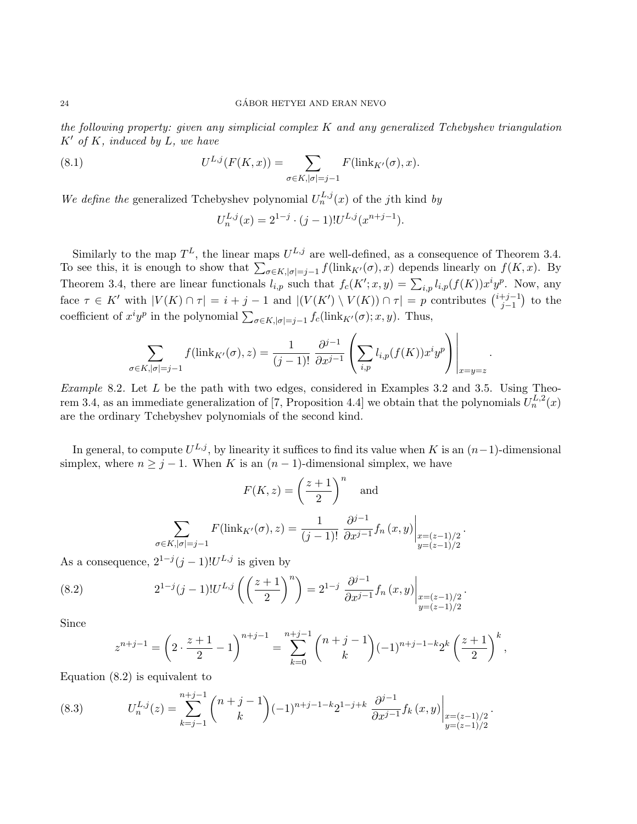the following property: given any simplicial complex  $K$  and any generalized Tchebyshev triangulation  $K'$  of K, induced by L, we have

(8.1) 
$$
U^{L,j}(F(K,x)) = \sum_{\sigma \in K, |\sigma| = j-1} F(\text{link}_{K'}(\sigma), x).
$$

We define the generalized Tchebyshev polynomial  $U_n^{L,j}(x)$  of the jth kind by

$$
U_n^{L,j}(x) = 2^{1-j} \cdot (j-1)! U^{L,j}(x^{n+j-1}).
$$

Similarly to the map  $T^L$ , the linear maps  $U^{L,j}$  are well-defined, as a consequence of Theorem 3.4. To see this, it is enough to show that  $\sum_{\sigma \in K, |\sigma|=j-1} f(\text{link}_{K'}(\sigma), x)$  depends linearly on  $f(K, x)$ . By Theorem 3.4, there are linear functionals  $l_{i,p}$  such that  $f_c(K'; x, y) = \sum_{i,p} l_{i,p}(f(K)) x^i y^p$ . Now, any face  $\tau \in K'$  with  $|V(K) \cap \tau| = i + j - 1$  and  $|(V(K') \setminus V(K)) \cap \tau| = p$  contributes  $\binom{i+j-1}{i-1}$  $_{j-1}^{+j-1}$ ) to the coefficient of  $x^i y^p$  in the polynomial  $\sum_{\sigma \in K, |\sigma|=j-1} f_c(\text{link}_{K'}(\sigma); x, y)$ . Thus,

$$
\sum_{\sigma \in K, |\sigma| = j-1} f(\operatorname{link}_{K'}(\sigma), z) = \frac{1}{(j-1)!} \left. \frac{\partial^{j-1}}{\partial x^{j-1}} \left( \sum_{i, p} l_{i, p}(f(K)) x^i y^p \right) \right|_{x=y=z}
$$

.

Example 8.2. Let  $L$  be the path with two edges, considered in Examples 3.2 and 3.5. Using Theorem 3.4, as an immediate generalization of [7, Proposition 4.4] we obtain that the polynomials  $U_n^{L,2}(x)$ are the ordinary Tchebyshev polynomials of the second kind.

In general, to compute  $U^{L,j}$ , by linearity it suffices to find its value when K is an  $(n-1)$ -dimensional simplex, where  $n \geq j - 1$ . When K is an  $(n - 1)$ -dimensional simplex, we have

$$
F(K, z) = \left(\frac{z+1}{2}\right)^n \text{ and}
$$

$$
\sum_{\sigma \in K, |\sigma| = j-1} F(\text{link}_{K'}(\sigma), z) = \frac{1}{(j-1)!} \frac{\partial^{j-1}}{\partial x^{j-1}} f_n(x, y) \Big|_{\substack{x = (z-1)/2 \\ y = (z-1)/2}}}.
$$

As a consequence,  $2^{1-j}(j-1)!U^{L,j}$  is given by

(8.2) 
$$
2^{1-j}(j-1)!U^{L,j}\left(\left(\frac{z+1}{2}\right)^n\right)=2^{1-j}\left.\frac{\partial^{j-1}}{\partial x^{j-1}}f_n(x,y)\right|_{\substack{x=(z-1)/2\\y=(z-1)/2}}.
$$

Since

$$
z^{n+j-1} = \left(2 \cdot \frac{z+1}{2} - 1\right)^{n+j-1} = \sum_{k=0}^{n+j-1} {n+j-1 \choose k} (-1)^{n+j-1-k} 2^k \left(\frac{z+1}{2}\right)^k,
$$

Equation (8.2) is equivalent to

(8.3) 
$$
U_n^{L,j}(z) = \sum_{k=j-1}^{n+j-1} {n+j-1 \choose k} (-1)^{n+j-1-k} 2^{1-j+k} \frac{\partial^{j-1}}{\partial x^{j-1}} f_k(x,y) \Big|_{\substack{x=(z-1)/2 \\ y=(z-1)/2}}.
$$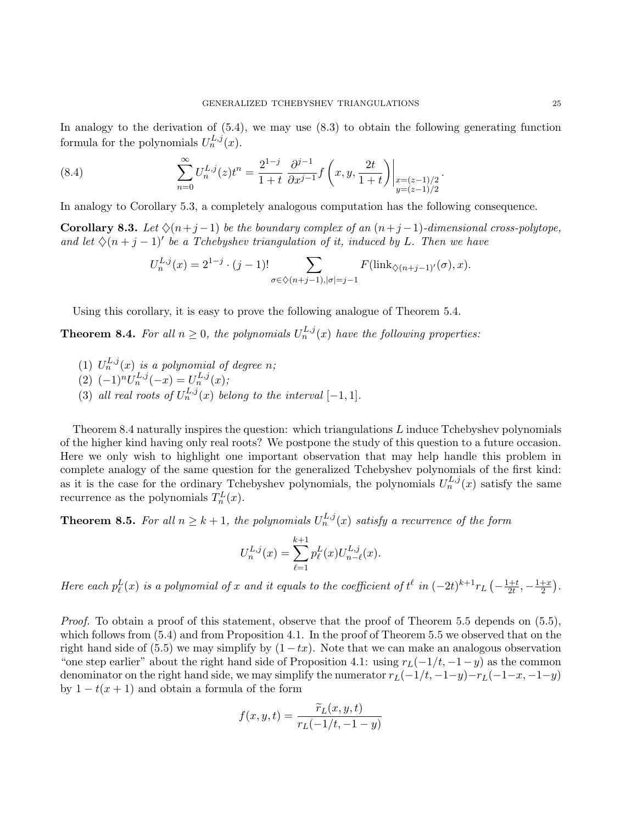In analogy to the derivation of  $(5.4)$ , we may use  $(8.3)$  to obtain the following generating function formula for the polynomials  $U_n^{L,j}(x)$ .

(8.4) 
$$
\sum_{n=0}^{\infty} U_n^{L,j}(z) t^n = \frac{2^{1-j}}{1+t} \frac{\partial^{j-1}}{\partial x^{j-1}} f\left(x, y, \frac{2t}{1+t}\right) \Big|_{\substack{x=(z-1)/2 \\ y=(z-1)/2}}.
$$

In analogy to Corollary 5.3, a completely analogous computation has the following consequence.

**Corollary 8.3.** Let  $\Diamond(n+j-1)$  be the boundary complex of an  $(n+j-1)$ -dimensional cross-polytope, and let  $\Diamond(n+j-1)'$  be a Tchebyshev triangulation of it, induced by L. Then we have

$$
U_n^{L,j}(x) = 2^{1-j} \cdot (j-1)!\sum_{\sigma \in \diamondsuit (n+j-1), |\sigma|=j-1} F(\text{link}_{\diamondsuit (n+j-1)'}(\sigma), x).
$$

Using this corollary, it is easy to prove the following analogue of Theorem 5.4.

**Theorem 8.4.** For all  $n \geq 0$ , the polynomials  $U_n^{L,j}(x)$  have the following properties:

- (1)  $U_n^{L,j}(x)$  is a polynomial of degree n;
- (2)  $(-1)^n U_n^{L,j}(-x) = U_n^{L,j}(x);$
- (3) all real roots of  $U_n^{L,j}(x)$  belong to the interval  $[-1,1]$ .

Theorem 8.4 naturally inspires the question: which triangulations  $L$  induce Tchebyshev polynomials of the higher kind having only real roots? We postpone the study of this question to a future occasion. Here we only wish to highlight one important observation that may help handle this problem in complete analogy of the same question for the generalized Tchebyshev polynomials of the first kind: as it is the case for the ordinary Tchebyshev polynomials, the polynomials  $U_n^{L,j}(x)$  satisfy the same recurrence as the polynomials  $T_n^L(x)$ .

**Theorem 8.5.** For all  $n \geq k+1$ , the polynomials  $U_n^{L,j}(x)$  satisfy a recurrence of the form

$$
U_n^{L,j}(x) = \sum_{\ell=1}^{k+1} p_{\ell}^{L}(x) U_{n-\ell}^{L,j}(x).
$$

Here each  $p_{\ell}^{L}(x)$  is a polynomial of x and it equals to the coefficient of  $t^{\ell}$  in  $(-2t)^{k+1}r_{L}\left(-\frac{1+t}{2t}\right)$  $\frac{1+t}{2t}, -\frac{1+x}{2}$  $\frac{+x}{2}$ .

Proof. To obtain a proof of this statement, observe that the proof of Theorem 5.5 depends on (5.5), which follows from (5.4) and from Proposition 4.1. In the proof of Theorem 5.5 we observed that on the right hand side of (5.5) we may simplify by  $(1 - tx)$ . Note that we can make an analogous observation "one step earlier" about the right hand side of Proposition 4.1: using  $r_L(-1/t, -1-y)$  as the common denominator on the right hand side, we may simplify the numerator  $r_L(-1/t, -1-y)-r_L(-1-x, -1-y)$ by  $1 - t(x + 1)$  and obtain a formula of the form

$$
f(x, y, t) = \frac{\widetilde{r}_L(x, y, t)}{r_L(-1/t, -1 - y)}
$$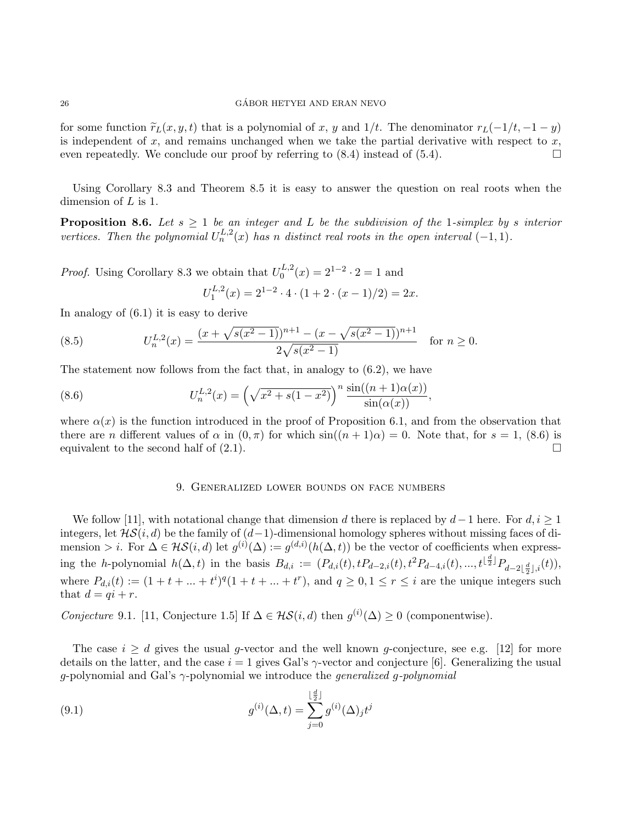for some function  $\tilde{r}_L(x, y, t)$  that is a polynomial of x, y and 1/t. The denominator  $r_L(-1/t, -1 - y)$ is independent of  $x$ , and remains unchanged when we take the partial derivative with respect to  $x$ , even repeatedly. We conclude our proof by referring to  $(8.4)$  instead of  $(5.4)$ .

Using Corollary 8.3 and Theorem 8.5 it is easy to answer the question on real roots when the dimension of L is 1.

**Proposition 8.6.** Let  $s \geq 1$  be an integer and L be the subdivision of the 1-simplex by s interior vertices. Then the polynomial  $U_n^{L,2}(x)$  has n distinct real roots in the open interval  $(-1,1)$ .

*Proof.* Using Corollary 8.3 we obtain that  $U_0^{L,2}$  $\chi_0^{L,2}(x) = 2^{1-2} \cdot 2 = 1$  and

$$
U_1^{L,2}(x) = 2^{1-2} \cdot 4 \cdot (1 + 2 \cdot (x - 1)/2) = 2x.
$$

In analogy of (6.1) it is easy to derive

(8.5) 
$$
U_n^{L,2}(x) = \frac{(x + \sqrt{s(x^2 - 1)})^{n+1} - (x - \sqrt{s(x^2 - 1)})^{n+1}}{2\sqrt{s(x^2 - 1)}} \quad \text{for } n \ge 0.
$$

The statement now follows from the fact that, in analogy to  $(6.2)$ , we have

(8.6) 
$$
U_n^{L,2}(x) = \left(\sqrt{x^2 + s(1-x^2)}\right)^n \frac{\sin((n+1)\alpha(x))}{\sin(\alpha(x))},
$$

where  $\alpha(x)$  is the function introduced in the proof of Proposition 6.1, and from the observation that there are n different values of  $\alpha$  in  $(0, \pi)$  for which  $sin((n + 1)\alpha) = 0$ . Note that, for  $s = 1$ , (8.6) is equivalent to the second half of  $(2.1)$ .

### 9. Generalized lower bounds on face numbers

We follow [11], with notational change that dimension d there is replaced by  $d-1$  here. For  $d, i \geq 1$ integers, let  $\mathcal{HS}(i, d)$  be the family of  $(d-1)$ -dimensional homology spheres without missing faces of dimension > *i*. For  $\Delta \in \mathcal{HS}(i,d)$  let  $g^{(i)}(\Delta) := g^{(d,i)}(h(\Delta, t))$  be the vector of coefficients when expressing the h-polynomial  $h(\Delta, t)$  in the basis  $B_{d,i} := (P_{d,i}(t), t P_{d-2,i}(t), t^2 P_{d-4,i}(t), ..., t^{\lfloor \frac{d}{2} \rfloor} P_{d-2\lfloor \frac{d}{2} \rfloor,i}(t)),$ where  $P_{d,i}(t) := (1+t+\ldots+t^i)^q(1+t+\ldots+t^r)$ , and  $q \geq 0, 1 \leq r \leq i$  are the unique integers such that  $d = qi + r$ .

Conjecture 9.1. [11, Conjecture 1.5] If  $\Delta \in \mathcal{HS}(i,d)$  then  $g^{(i)}(\Delta) \geq 0$  (componentwise).

The case  $i \geq d$  gives the usual g-vector and the well known g-conjecture, see e.g. [12] for more details on the latter, and the case  $i = 1$  gives Gal's  $\gamma$ -vector and conjecture [6]. Generalizing the usual g-polynomial and Gal's  $\gamma$ -polynomial we introduce the *generalized* g-polynomial

(9.1) 
$$
g^{(i)}(\Delta, t) = \sum_{j=0}^{\lfloor \frac{d}{2} \rfloor} g^{(i)}(\Delta)_j t^j
$$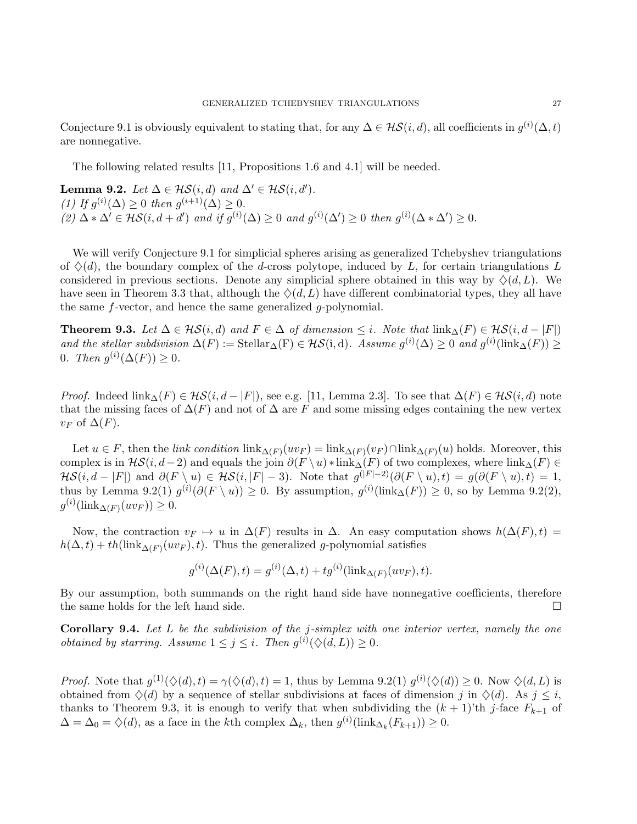Conjecture 9.1 is obviously equivalent to stating that, for any  $\Delta \in \mathcal{HS}(i,d)$ , all coefficients in  $g^{(i)}(\Delta, t)$ are nonnegative.

The following related results [11, Propositions 1.6 and 4.1] will be needed.

**Lemma 9.2.** Let  $\Delta \in \mathcal{HS}(i,d)$  and  $\Delta' \in \mathcal{HS}(i,d')$ . (1) If  $g^{(i)}(\Delta) \geq 0$  then  $g^{(i+1)}(\Delta) \geq 0$ . (2)  $\Delta * \Delta' \in \mathcal{HS}(i, d + d')$  and if  $g^{(i)}(\Delta) \geq 0$  and  $g^{(i)}(\Delta') \geq 0$  then  $g^{(i)}(\Delta * \Delta') \geq 0$ .

We will verify Conjecture 9.1 for simplicial spheres arising as generalized Tchebyshev triangulations of  $\Diamond(d)$ , the boundary complex of the d-cross polytope, induced by L, for certain triangulations L considered in previous sections. Denote any simplicial sphere obtained in this way by  $\Diamond(d, L)$ . We have seen in Theorem 3.3 that, although the  $\Diamond(d, L)$  have different combinatorial types, they all have the same f-vector, and hence the same generalized g-polynomial.

**Theorem 9.3.** Let  $\Delta \in \mathcal{H}S(i,d)$  and  $F \in \Delta$  of dimension  $\leq i$ . Note that  $\text{link}_{\Delta}(F) \in \mathcal{H}S(i,d-|F|)$ and the stellar subdivision  $\Delta(F) := \text{Stellar}_{\Delta}(F) \in \mathcal{HS}(i, d)$ . Assume  $g^{(i)}(\Delta) \geq 0$  and  $g^{(i)}(\text{link}_{\Delta}(F)) \geq 0$ 0. Then  $g^{(i)}(\Delta(F)) \geq 0$ .

*Proof.* Indeed  $\text{link}_{\Delta}(F) \in \mathcal{HS}(i, d - |F|)$ , see e.g. [11, Lemma 2.3]. To see that  $\Delta(F) \in \mathcal{HS}(i, d)$  note that the missing faces of  $\Delta(F)$  and not of  $\Delta$  are F and some missing edges containing the new vertex  $v_F$  of  $\Delta(F)$ .

Let  $u \in F$ , then the *link condition*  $\text{link}_{\Delta(F)}(uv_F) = \text{link}_{\Delta(F)}(v_F) \cap \text{link}_{\Delta(F)}(u)$  holds. Moreover, this complex is in  $\mathcal{H}\mathcal{S}(i, d-2)$  and equals the join  $\partial(F \setminus u) * \text{link}_{\Delta}(F)$  of two complexes, where link $_{\Delta}(F) \in$  $\mathcal{H}\mathcal{S}(i, d-|F|)$  and  $\partial(F \setminus u) \in \mathcal{H}\mathcal{S}(i, |F| - 3)$ . Note that  $g^{(|F| - 2)}(\partial(F \setminus u), t) = g(\partial(F \setminus u), t) = 1$ , thus by Lemma 9.2(1)  $g^{(i)}(\partial(F \setminus u)) \geq 0$ . By assumption,  $g^{(i)}(\text{link}_{\Delta}(F)) \geq 0$ , so by Lemma 9.2(2),  $g^{(i)}(\text{link}_{\Delta(F)}(uv_F)) \geq 0.$ 

Now, the contraction  $v_F \mapsto u$  in  $\Delta(F)$  results in  $\Delta$ . An easy computation shows  $h(\Delta(F), t) =$  $h(\Delta, t) + th(\text{link}_{\Delta(F)}(uv_F), t)$ . Thus the generalized g-polynomial satisfies

$$
g^{(i)}(\Delta(F), t) = g^{(i)}(\Delta, t) + t g^{(i)}(\text{link}_{\Delta(F)}(uv_F), t).
$$

By our assumption, both summands on the right hand side have nonnegative coefficients, therefore the same holds for the left hand side.  $\square$ 

**Corollary 9.4.** Let  $L$  be the subdivision of the j-simplex with one interior vertex, namely the one *obtained by starring. Assume*  $1 \leq j \leq i$ . Then  $g^{(i)}(\diamondsuit (d, L)) \geq 0$ .

*Proof.* Note that  $g^{(1)}(\diamondsuit(d), t) = \gamma(\diamondsuit(d), t) = 1$ , thus by Lemma 9.2(1)  $g^{(i)}(\diamondsuit(d)) \geq 0$ . Now  $\diamondsuit(d, L)$  is obtained from  $\Diamond(d)$  by a sequence of stellar subdivisions at faces of dimension j in  $\Diamond(d)$ . As  $j \leq i$ , thanks to Theorem 9.3, it is enough to verify that when subdividing the  $(k + 1)$ 'th j-face  $F_{k+1}$  of  $\Delta = \Delta_0 = \diamondsuit(d)$ , as a face in the kth complex  $\Delta_k$ , then  $g^{(i)}(\text{link}_{\Delta_k}(F_{k+1})) \geq 0$ .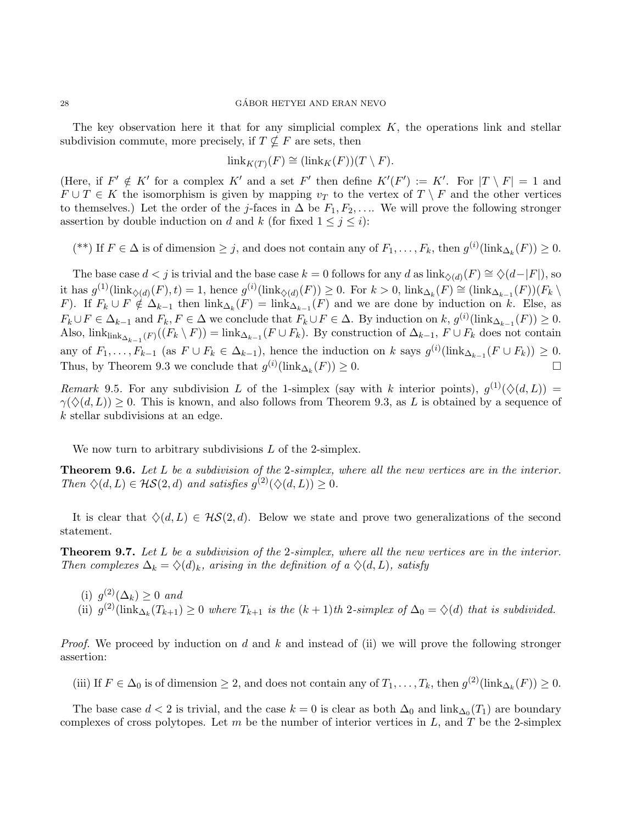The key observation here it that for any simplicial complex  $K$ , the operations link and stellar subdivision commute, more precisely, if  $T \nsubseteq F$  are sets, then

$$
\operatorname{link}_{K(T)}(F) \cong (\operatorname{link}_K(F))(T \setminus F).
$$

(Here, if  $F' \notin K'$  for a complex K' and a set F' then define  $K'(F') := K'$ . For  $|T \setminus F| = 1$  and  $F \cup T \in K$  the isomorphism is given by mapping  $v_T$  to the vertex of  $T \setminus F$  and the other vertices to themselves.) Let the order of the j-faces in  $\Delta$  be  $F_1, F_2, \ldots$ . We will prove the following stronger assertion by double induction on d and k (for fixed  $1 \leq j \leq i$ ):

(\*\*) If  $F \in \Delta$  is of dimension  $\geq j$ , and does not contain any of  $F_1, \ldots, F_k$ , then  $g^{(i)}(\text{link}_{\Delta_k}(F)) \geq 0$ .

The base case  $d < j$  is trivial and the base case  $k = 0$  follows for any d as  $\text{link}_{\diamondsuit(d)}(F) \cong \diamondsuit(d-|F|)$ , so it has  $g^{(1)}(\text{link}_{\diamondsuit(d)}(F), t) = 1$ , hence  $g^{(i)}(\text{link}_{\diamondsuit(d)}(F)) \geq 0$ . For  $k > 0$ ,  $\text{link}_{\Delta_k}(F) \cong (\text{link}_{\Delta_{k-1}}(F))(F_k \setminus F)$ F). If  $F_k \cup F \notin \Delta_{k-1}$  then  $\text{link}_{\Delta_k}(F) = \text{link}_{\Delta_{k-1}}(F)$  and we are done by induction on k. Else, as  $F_k \cup F \in \Delta_{k-1}$  and  $F_k, F \in \Delta$  we conclude that  $F_k \cup F \in \Delta$ . By induction on  $k, g^{(i)}(\text{link}_{\Delta_{k-1}}(F)) \geq 0$ . Also,  $\text{link}_{\Delta_{k-1}(F)}((F_k \setminus F)) = \text{link}_{\Delta_{k-1}}(F \cup F_k)$ . By construction of  $\Delta_{k-1}$ ,  $F \cup F_k$  does not contain any of  $F_1, \ldots, F_{k-1}$  (as  $F \cup F_k \in \Delta_{k-1}$ ), hence the induction on k says  $g^{(i)}(\text{link}_{\Delta_{k-1}}(F \cup F_k)) \geq 0$ . Thus, by Theorem 9.3 we conclude that  $g^{(i)}(\text{link}_{\Delta_k}(F)) \geq 0$ .

Remark 9.5. For any subdivision L of the 1-simplex (say with k interior points),  $g^{(1)}(\Diamond(d, L))$  =  $\gamma(\diamondsuit(d,L)) \geq 0$ . This is known, and also follows from Theorem 9.3, as L is obtained by a sequence of k stellar subdivisions at an edge.

We now turn to arbitrary subdivisions  $L$  of the 2-simplex.

**Theorem 9.6.** Let L be a subdivision of the 2-simplex, where all the new vertices are in the interior. Then  $\Diamond(d, L) \in \mathcal{HS}(2, d)$  and satisfies  $g^{(2)}(\Diamond(d, L)) \geq 0$ .

It is clear that  $\Diamond(d, L) \in \mathcal{HS}(2, d)$ . Below we state and prove two generalizations of the second statement.

Theorem 9.7. Let L be a subdivision of the 2-simplex, where all the new vertices are in the interior. Then complexes  $\Delta_k = \Diamond(d)_k$ , arising in the definition of a  $\Diamond(d, L)$ , satisfy

(i)  $g^{(2)}(\Delta_k) \geq 0$  and (ii)  $g^{(2)}(\text{link}_{\Delta_k}(T_{k+1}) \geq 0$  where  $T_{k+1}$  is the  $(k+1)$ th 2-simplex of  $\Delta_0 = \diamondsuit(d)$  that is subdivided.

*Proof.* We proceed by induction on d and k and instead of (ii) we will prove the following stronger assertion:

(iii) If  $F \in \Delta_0$  is of dimension  $\geq 2$ , and does not contain any of  $T_1, \ldots, T_k$ , then  $g^{(2)}(\text{link}_{\Delta_k}(F)) \geq 0$ .

The base case  $d < 2$  is trivial, and the case  $k = 0$  is clear as both  $\Delta_0$  and  $\lim_{\Delta_0}(T_1)$  are boundary complexes of cross polytopes. Let m be the number of interior vertices in L, and T be the 2-simplex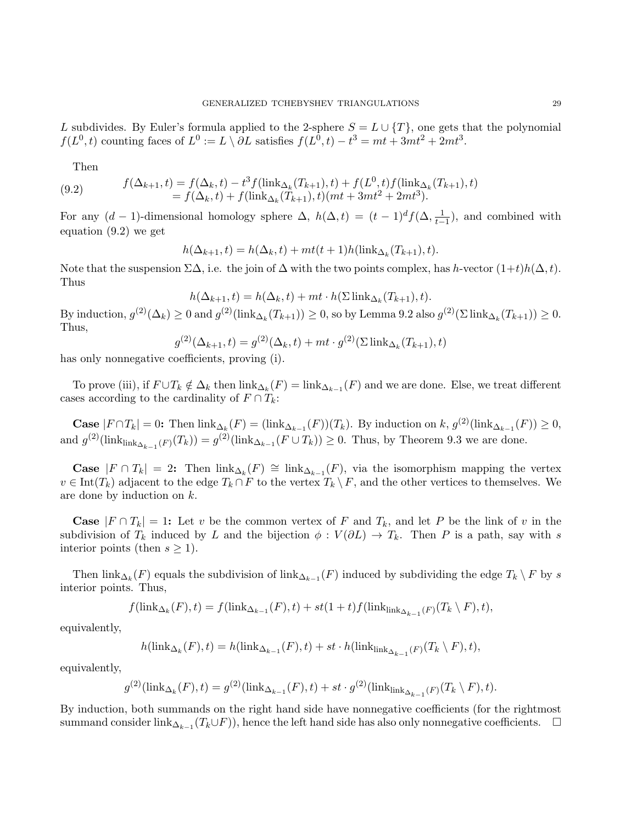L subdivides. By Euler's formula applied to the 2-sphere  $S = L \cup \{T\}$ , one gets that the polynomial  $f(L^0, t)$  counting faces of  $L^0 := L \setminus \partial L$  satisfies  $f(L^0, t) - t^3 = mt + 3mt^2 + 2mt^3$ .

Then

(9.2) 
$$
f(\Delta_{k+1}, t) = f(\Delta_k, t) - t^3 f(\lim_{k \Delta_k} (T_{k+1}), t) + f(L^0, t) f(\lim_{k \Delta_k} (T_{k+1}), t) = f(\Delta_k, t) + f(\lim_{k \Delta_k} (T_{k+1}), t) (mt + 3mt^2 + 2mt^3).
$$

For any  $(d-1)$ -dimensional homology sphere  $\Delta$ ,  $h(\Delta, t) = (t-1)^d f(\Delta, \frac{1}{t-1})$ , and combined with equation (9.2) we get

$$
h(\Delta_{k+1},t) = h(\Delta_k,t) + mt(t+1)h(\mathrm{link}_{\Delta_k}(T_{k+1}),t).
$$

Note that the suspension  $\Sigma\Delta$ , i.e. the join of  $\Delta$  with the two points complex, has h-vector  $(1+t)h(\Delta, t)$ . Thus

$$
h(\Delta_{k+1}, t) = h(\Delta_k, t) + mt \cdot h(\Sigma \lim_{k \Delta_k} (T_{k+1}), t).
$$

By induction,  $g^{(2)}(\Delta_k) \ge 0$  and  $g^{(2)}(\text{link}_{\Delta_k}(T_{k+1})) \ge 0$ , so by Lemma 9.2 also  $g^{(2)}(\Sigma \text{ link}_{\Delta_k}(T_{k+1})) \ge 0$ . Thus,

$$
g^{(2)}(\Delta_{k+1}, t) = g^{(2)}(\Delta_k, t) + mt \cdot g^{(2)}(\Sigma \operatorname{link}_{\Delta_k}(T_{k+1}), t)
$$

has only nonnegative coefficients, proving (i).

To prove (iii), if  $F \cup T_k \notin \Delta_k$  then  $\text{link}_{\Delta_k}(F) = \text{link}_{\Delta_{k-1}}(F)$  and we are done. Else, we treat different cases according to the cardinality of  $F \cap T_k$ :

**Case**  $|F \cap T_k| = 0$ : Then  $\text{link}_{\Delta_k}(F) = (\text{link}_{\Delta_{k-1}}(F))(T_k)$ . By induction on  $k, g^{(2)}(\text{link}_{\Delta_{k-1}}(F)) \ge 0$ , and  $g^{(2)}(\hbox{link}_{\hbox{link}_{\Delta_{k-1}}(F)}(T_k)) = g^{(2)}(\hbox{link}_{\Delta_{k-1}}(F \cup T_k)) \ge 0$ . Thus, by Theorem 9.3 we are done.

**Case**  $|F \cap T_k| = 2$ : Then  $\text{link}_{\Delta_k}(F) \cong \text{link}_{\Delta_{k-1}}(F)$ , via the isomorphism mapping the vertex  $v \in \text{Int}(T_k)$  adjacent to the edge  $T_k \cap F$  to the vertex  $T_k \setminus F$ , and the other vertices to themselves. We are done by induction on k.

**Case**  $|F \cap T_k| = 1$ : Let v be the common vertex of F and  $T_k$ , and let P be the link of v in the subdivision of  $T_k$  induced by L and the bijection  $\phi: V(\partial L) \to T_k$ . Then P is a path, say with s interior points (then  $s \geq 1$ ).

Then  $\hbox{link}_{\Delta_k}(F)$  equals the subdivision of  $\hbox{link}_{\Delta_{k-1}}(F)$  induced by subdividing the edge  $T_k \setminus F$  by s interior points. Thus,

$$
f(\operatorname{link}_{\Delta_k}(F), t) = f(\operatorname{link}_{\Delta_{k-1}}(F), t) + st(1+t)f(\operatorname{link}_{\operatorname{link}_{\Delta_{k-1}}(F)}(T_k \setminus F), t),
$$

equivalently,

$$
h(\hbox{\rm link}_{\Delta_k}(F),t) = h(\hbox{\rm link}_{\Delta_{k-1}}(F),t) + st \cdot h(\hbox{\rm link}_{\hbox{\rm link}_{\Delta_{k-1}}(F)}(T_k \setminus F),t),
$$

equivalently,

$$
g^{(2)}(\hbox{\rm link}_{\Delta_k}(F),t) = g^{(2)}(\hbox{\rm link}_{\Delta_{k-1}}(F),t) + st \cdot g^{(2)}(\hbox{\rm link}_{\hbox{\rm link}_{\Delta_{k-1}}(F)}(T_k \setminus F),t).
$$

By induction, both summands on the right hand side have nonnegative coefficients (for the rightmost summand consider link<sub>∆k−1</sub>( $T_k \cup F$ )), hence the left hand side has also only nonnegative coefficients.  $\Box$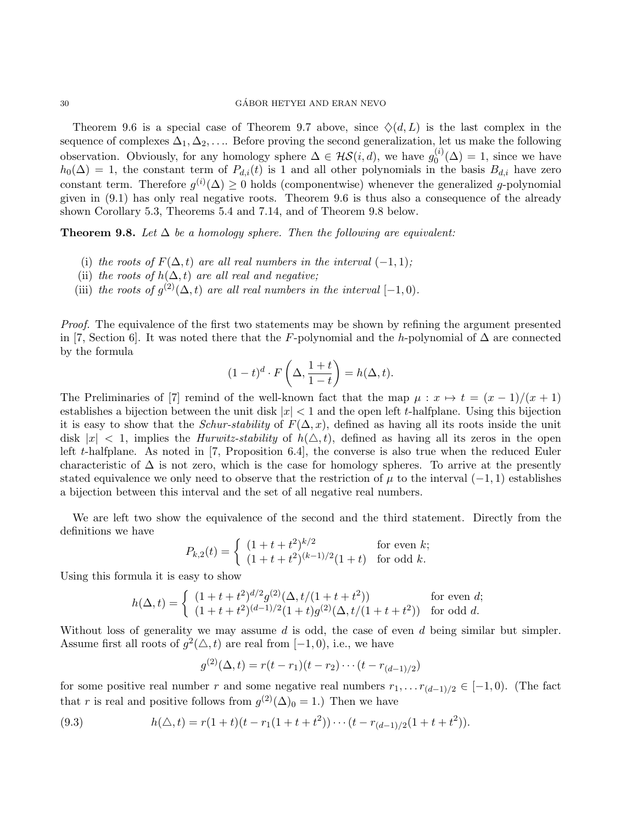### $\text{GÁBOR HETYEI AND ERAN NEVO}$

Theorem 9.6 is a special case of Theorem 9.7 above, since  $\Diamond(d, L)$  is the last complex in the sequence of complexes  $\Delta_1, \Delta_2, \ldots$  Before proving the second generalization, let us make the following observation. Obviously, for any homology sphere  $\Delta \in \mathcal{HS}(i, d)$ , we have  $g_0^{(i)}$  $\binom{0}{0}$  ( $\Delta$ ) = 1, since we have  $h_0(\Delta) = 1$ , the constant term of  $P_{d,i}(t)$  is 1 and all other polynomials in the basis  $B_{d,i}$  have zero constant term. Therefore  $g^{(i)}(\Delta) \geq 0$  holds (componentwise) whenever the generalized g-polynomial given in (9.1) has only real negative roots. Theorem 9.6 is thus also a consequence of the already shown Corollary 5.3, Theorems 5.4 and 7.14, and of Theorem 9.8 below.

**Theorem 9.8.** Let  $\Delta$  be a homology sphere. Then the following are equivalent:

- (i) the roots of  $F(\Delta, t)$  are all real numbers in the interval  $(-1, 1)$ ;
- (ii) the roots of  $h(\Delta, t)$  are all real and negative;
- (iii) the roots of  $g^{(2)}(\Delta, t)$  are all real numbers in the interval  $[-1, 0)$ .

Proof. The equivalence of the first two statements may be shown by refining the argument presented in [7, Section 6]. It was noted there that the F-polynomial and the h-polynomial of  $\Delta$  are connected by the formula

$$
(1-t)^d \cdot F\left(\Delta, \frac{1+t}{1-t}\right) = h(\Delta, t).
$$

The Preliminaries of [7] remind of the well-known fact that the map  $\mu : x \mapsto t = (x - 1)/(x + 1)$ establishes a bijection between the unit disk  $|x| < 1$  and the open left t-halfplane. Using this bijection it is easy to show that the *Schur-stability* of  $F(\Delta, x)$ , defined as having all its roots inside the unit disk  $|x| < 1$ , implies the *Hurwitz-stability* of  $h(\triangle, t)$ , defined as having all its zeros in the open left t-halfplane. As noted in [7, Proposition 6.4], the converse is also true when the reduced Euler characteristic of  $\Delta$  is not zero, which is the case for homology spheres. To arrive at the presently stated equivalence we only need to observe that the restriction of  $\mu$  to the interval (−1, 1) establishes a bijection between this interval and the set of all negative real numbers.

We are left two show the equivalence of the second and the third statement. Directly from the definitions we have

$$
P_{k,2}(t) = \begin{cases} (1+t+t^2)^{k/2} & \text{for even } k; \\ (1+t+t^2)^{(k-1)/2}(1+t) & \text{for odd } k. \end{cases}
$$

Using this formula it is easy to show

$$
h(\Delta, t) = \begin{cases} (1+t+t^2)^{d/2} g^{(2)}(\Delta, t/(1+t+t^2)) & \text{for even } d;\\ (1+t+t^2)^{(d-1)/2}(1+t) g^{(2)}(\Delta, t/(1+t+t^2)) & \text{for odd } d. \end{cases}
$$

Without loss of generality we may assume  $d$  is odd, the case of even  $d$  being similar but simpler. Assume first all roots of  $g^2(\triangle, t)$  are real from [-1,0), i.e., we have

$$
g^{(2)}(\Delta, t) = r(t - r_1)(t - r_2) \cdots (t - r_{(d-1)/2})
$$

for some positive real number r and some negative real numbers  $r_1, \ldots r_{(d-1)/2} \in [-1, 0)$ . (The fact that r is real and positive follows from  $g^{(2)}(\Delta)_0 = 1$ .) Then we have

(9.3) 
$$
h(\triangle, t) = r(1+t)(t - r_1(1+t+t^2)) \cdots (t - r_{(d-1)/2}(1+t+t^2)).
$$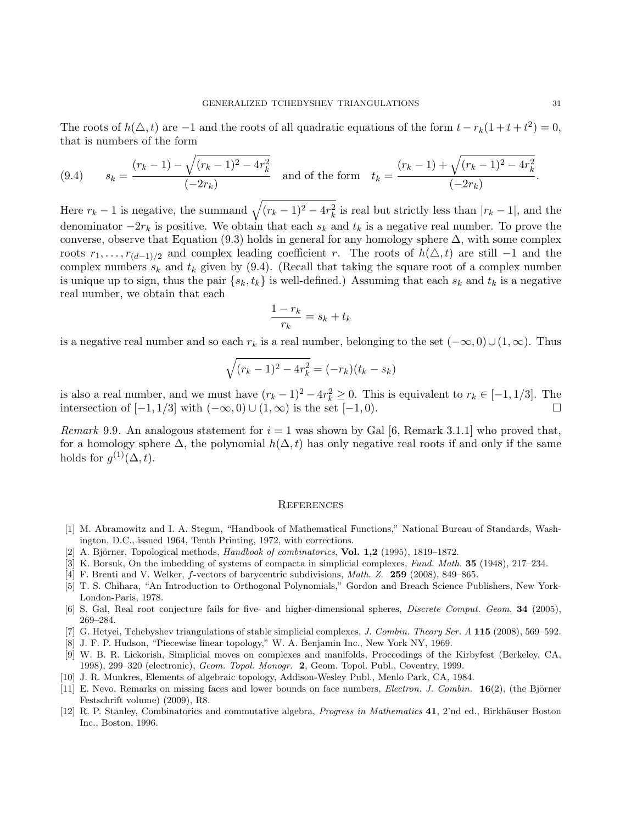The roots of  $h(\triangle, t)$  are  $-1$  and the roots of all quadratic equations of the form  $t - r_k(1 + t + t^2) = 0$ , that is numbers of the form

$$
(9.4) \qquad s_k = \frac{(r_k - 1) - \sqrt{(r_k - 1)^2 - 4r_k^2}}{(-2r_k)} \quad \text{and of the form} \quad t_k = \frac{(r_k - 1) + \sqrt{(r_k - 1)^2 - 4r_k^2}}{(-2r_k)}.
$$

Here  $r_k - 1$  is negative, the summand  $\sqrt{(r_k - 1)^2 - 4r_k^2}$  is real but strictly less than  $|r_k - 1|$ , and the denominator  $-2r_k$  is positive. We obtain that each  $s_k$  and  $t_k$  is a negative real number. To prove the converse, observe that Equation (9.3) holds in general for any homology sphere  $\Delta$ , with some complex roots  $r_1, \ldots, r_{(d-1)/2}$  and complex leading coefficient r. The roots of  $h(\Delta, t)$  are still −1 and the complex numbers  $s_k$  and  $t_k$  given by (9.4). (Recall that taking the square root of a complex number is unique up to sign, thus the pair  $\{s_k, t_k\}$  is well-defined.) Assuming that each  $s_k$  and  $t_k$  is a negative real number, we obtain that each

$$
\frac{1-r_k}{r_k} = s_k + t_k
$$

is a negative real number and so each  $r_k$  is a real number, belonging to the set  $(-\infty, 0) \cup (1, \infty)$ . Thus

$$
\sqrt{(r_k - 1)^2 - 4r_k^2} = (-r_k)(t_k - s_k)
$$

is also a real number, and we must have  $(r_k - 1)^2 - 4r_k^2 \ge 0$ . This is equivalent to  $r_k \in [-1, 1/3]$ . The intersection of  $[-1, 1/3]$  with  $(-\infty, 0) \cup (1, \infty)$  is the set  $[-1, 0)$ . □

*Remark* 9.9. An analogous statement for  $i = 1$  was shown by Gal [6, Remark 3.1.1] who proved that, for a homology sphere  $\Delta$ , the polynomial  $h(\Delta, t)$  has only negative real roots if and only if the same holds for  $g^{(1)}(\Delta, t)$ .

### **REFERENCES**

- [1] M. Abramowitz and I. A. Stegun, "Handbook of Mathematical Functions," National Bureau of Standards, Washington, D.C., issued 1964, Tenth Printing, 1972, with corrections.
- [2] A. Björner, Topological methods,  $Handbook$  of combinatorics, **Vol. 1,2** (1995), 1819–1872.
- [3] K. Borsuk, On the imbedding of systems of compacta in simplicial complexes, Fund. Math. 35 (1948), 217–234.
- [4] F. Brenti and V. Welker, f-vectors of barycentric subdivisions, Math. Z. 259 (2008), 849–865.
- [5] T. S. Chihara, "An Introduction to Orthogonal Polynomials," Gordon and Breach Science Publishers, New York-London-Paris, 1978.
- [6] S. Gal, Real root conjecture fails for five- and higher-dimensional spheres, Discrete Comput. Geom. 34 (2005), 269–284.
- [7] G. Hetyei, Tchebyshev triangulations of stable simplicial complexes, J. Combin. Theory Ser. A 115 (2008), 569–592.
- [8] J. F. P. Hudson, "Piecewise linear topology," W. A. Benjamin Inc., New York NY, 1969.
- [9] W. B. R. Lickorish, Simplicial moves on complexes and manifolds, Proceedings of the Kirbyfest (Berkeley, CA, 1998), 299–320 (electronic), Geom. Topol. Monogr. 2, Geom. Topol. Publ., Coventry, 1999.
- [10] J. R. Munkres, Elements of algebraic topology, Addison-Wesley Publ., Menlo Park, CA, 1984.
- [11] E. Nevo, Remarks on missing faces and lower bounds on face numbers, *Electron. J. Combin.*  $\mathbf{16}(2)$ , (the Björner Festschrift volume) (2009), R8.
- [12] R. P. Stanley, Combinatorics and commutative algebra, *Progress in Mathematics* 41, 2'nd ed., Birkhäuser Boston Inc., Boston, 1996.